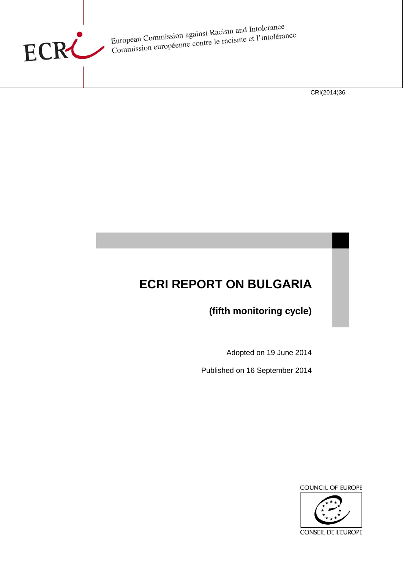

European Commission against Racism and Intolerance<br>Commission européenne contre le racisme et l'intolérance

CRI(2014)36

# **ECRI REPORT ON BULGARIA**

**(fifth monitoring cycle)**

Adopted on 19 June 2014

Published on 16 September 2014

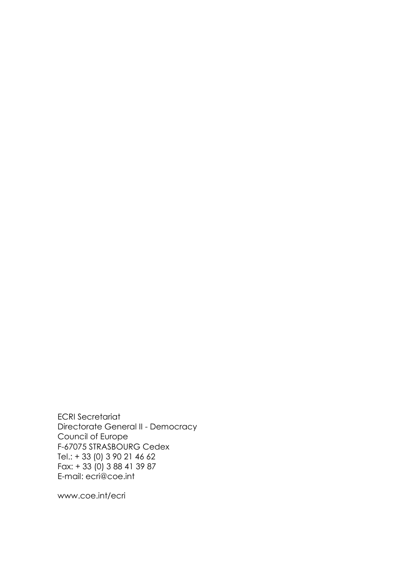ECRI Secretariat Directorate General II - Democracy Council of Europe F-67075 STRASBOURG Cedex Tel.: + 33 (0) 3 90 21 46 62 Fax: + 33 (0) 3 88 41 39 87 E-mail: ecri@coe.int

[www.coe.int/ecri](http://www.coe.int/ecri)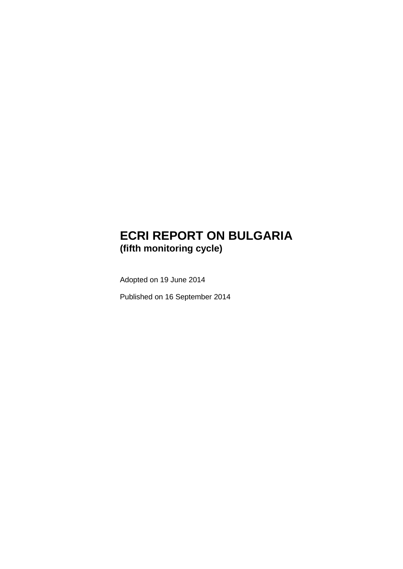# **ECRI REPORT ON BULGARIA (fifth monitoring cycle)**

Adopted on 19 June 2014

Published on 16 September 2014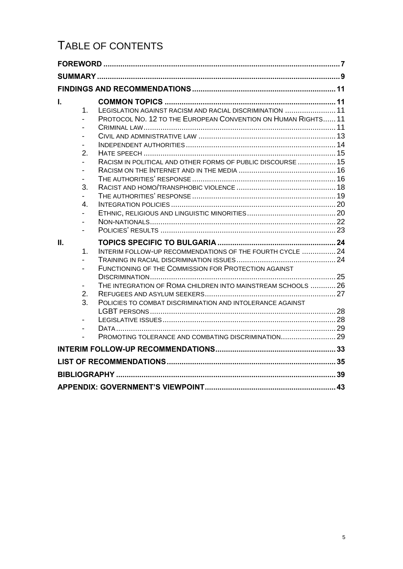# TABLE OF CONTENTS

| I. |                  |                                                               |  |  |  |  |  |
|----|------------------|---------------------------------------------------------------|--|--|--|--|--|
|    | 1.               | LEGISLATION AGAINST RACISM AND RACIAL DISCRIMINATION  11      |  |  |  |  |  |
|    |                  | PROTOCOL NO. 12 TO THE EUROPEAN CONVENTION ON HUMAN RIGHTS 11 |  |  |  |  |  |
|    |                  |                                                               |  |  |  |  |  |
|    | $\blacksquare$   |                                                               |  |  |  |  |  |
|    | $\blacksquare$   |                                                               |  |  |  |  |  |
|    | 2.               |                                                               |  |  |  |  |  |
|    | $\blacksquare$   | RACISM IN POLITICAL AND OTHER FORMS OF PUBLIC DISCOURSE  15   |  |  |  |  |  |
|    |                  |                                                               |  |  |  |  |  |
|    |                  |                                                               |  |  |  |  |  |
|    | 3.               |                                                               |  |  |  |  |  |
|    | $\overline{4}$ . |                                                               |  |  |  |  |  |
|    |                  |                                                               |  |  |  |  |  |
|    |                  |                                                               |  |  |  |  |  |
|    |                  |                                                               |  |  |  |  |  |
| Н. |                  |                                                               |  |  |  |  |  |
|    | 1.               | INTERIM FOLLOW-UP RECOMMENDATIONS OF THE FOURTH CYCLE  24     |  |  |  |  |  |
|    |                  |                                                               |  |  |  |  |  |
|    |                  | FUNCTIONING OF THE COMMISSION FOR PROTECTION AGAINST          |  |  |  |  |  |
|    |                  |                                                               |  |  |  |  |  |
|    |                  | THE INTEGRATION OF ROMA CHILDREN INTO MAINSTREAM SCHOOLS  26  |  |  |  |  |  |
|    | 2.<br>3.         | POLICIES TO COMBAT DISCRIMINATION AND INTOLERANCE AGAINST     |  |  |  |  |  |
|    |                  |                                                               |  |  |  |  |  |
|    |                  |                                                               |  |  |  |  |  |
|    |                  |                                                               |  |  |  |  |  |
|    |                  |                                                               |  |  |  |  |  |
|    |                  |                                                               |  |  |  |  |  |
|    |                  |                                                               |  |  |  |  |  |
|    |                  |                                                               |  |  |  |  |  |
|    |                  |                                                               |  |  |  |  |  |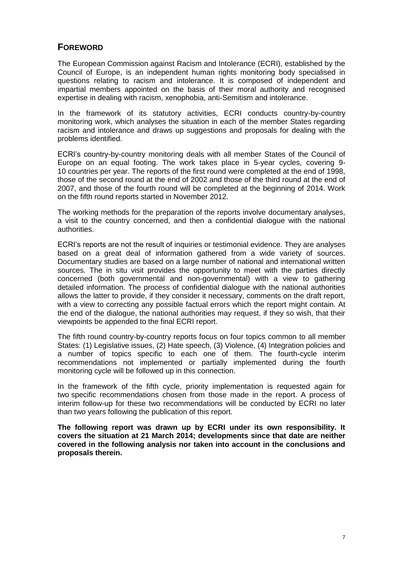# <span id="page-6-0"></span>**FOREWORD**

The European Commission against Racism and Intolerance (ECRI), established by the Council of Europe, is an independent human rights monitoring body specialised in questions relating to racism and intolerance. It is composed of independent and impartial members appointed on the basis of their moral authority and recognised expertise in dealing with racism, xenophobia, anti-Semitism and intolerance.

In the framework of its statutory activities, ECRI conducts country-by-country monitoring work, which analyses the situation in each of the member States regarding racism and intolerance and draws up suggestions and proposals for dealing with the problems identified.

ECRI's country-by-country monitoring deals with all member States of the Council of Europe on an equal footing. The work takes place in 5-year cycles, covering 9- 10 countries per year. The reports of the first round were completed at the end of 1998, those of the second round at the end of 2002 and those of the third round at the end of 2007, and those of the fourth round will be completed at the beginning of 2014. Work on the fifth round reports started in November 2012.

The working methods for the preparation of the reports involve documentary analyses, a visit to the country concerned, and then a confidential dialogue with the national authorities.

ECRI's reports are not the result of inquiries or testimonial evidence. They are analyses based on a great deal of information gathered from a wide variety of sources. Documentary studies are based on a large number of national and international written sources. The in situ visit provides the opportunity to meet with the parties directly concerned (both governmental and non-governmental) with a view to gathering detailed information. The process of confidential dialogue with the national authorities allows the latter to provide, if they consider it necessary, comments on the draft report, with a view to correcting any possible factual errors which the report might contain. At the end of the dialogue, the national authorities may request, if they so wish, that their viewpoints be appended to the final ECRI report.

The fifth round country-by-country reports focus on four topics common to all member States: (1) Legislative issues, (2) Hate speech, (3) Violence, (4) Integration policies and a number of topics specific to each one of them. The fourth-cycle interim recommendations not implemented or partially implemented during the fourth monitoring cycle will be followed up in this connection.

In the framework of the fifth cycle, priority implementation is requested again for two specific recommendations chosen from those made in the report. A process of interim follow-up for these two recommendations will be conducted by ECRI no later than two years following the publication of this report.

**The following report was drawn up by ECRI under its own responsibility. It covers the situation at 21 March 2014; developments since that date are neither covered in the following analysis nor taken into account in the conclusions and proposals therein.**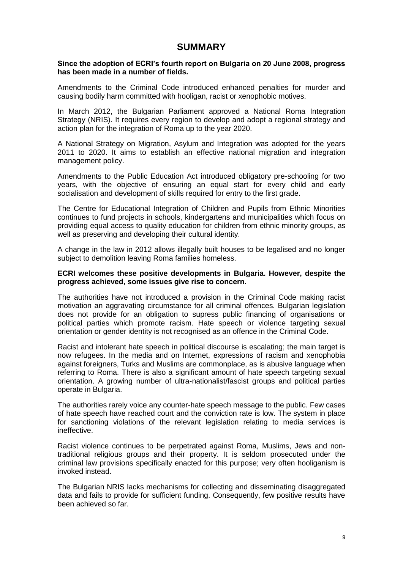# **SUMMARY**

#### <span id="page-8-0"></span>**Since the adoption of ECRI's fourth report on Bulgaria on 20 June 2008, progress has been made in a number of fields.**

Amendments to the Criminal Code introduced enhanced penalties for murder and causing bodily harm committed with hooligan, racist or xenophobic motives.

In March 2012, the Bulgarian Parliament approved a National Roma Integration Strategy (NRIS). It requires every region to develop and adopt a regional strategy and action plan for the integration of Roma up to the year 2020.

A National Strategy on Migration, Asylum and Integration was adopted for the years 2011 to 2020. It aims to establish an effective national migration and integration management policy.

Amendments to the Public Education Act introduced obligatory pre-schooling for two years, with the objective of ensuring an equal start for every child and early socialisation and development of skills required for entry to the first grade.

The Centre for Educational Integration of Children and Pupils from Ethnic Minorities continues to fund projects in schools, kindergartens and municipalities which focus on providing equal access to quality education for children from ethnic minority groups, as well as preserving and developing their cultural identity.

A change in the law in 2012 allows illegally built houses to be legalised and no longer subject to demolition leaving Roma families homeless.

#### **ECRI welcomes these positive developments in Bulgaria. However, despite the progress achieved, some issues give rise to concern.**

The authorities have not introduced a provision in the Criminal Code making racist motivation an aggravating circumstance for all criminal offences. Bulgarian legislation does not provide for an obligation to supress public financing of organisations or political parties which promote racism. Hate speech or violence targeting sexual orientation or gender identity is not recognised as an offence in the Criminal Code.

Racist and intolerant hate speech in political discourse is escalating; the main target is now refugees. In the media and on Internet, expressions of racism and xenophobia against foreigners, Turks and Muslims are commonplace, as is abusive language when referring to Roma. There is also a significant amount of hate speech targeting sexual orientation. A growing number of ultra-nationalist/fascist groups and political parties operate in Bulgaria.

The authorities rarely voice any counter-hate speech message to the public. Few cases of hate speech have reached court and the conviction rate is low. The system in place for sanctioning violations of the relevant legislation relating to media services is ineffective.

Racist violence continues to be perpetrated against Roma, Muslims, Jews and nontraditional religious groups and their property. It is seldom prosecuted under the criminal law provisions specifically enacted for this purpose; very often hooliganism is invoked instead.

The Bulgarian NRIS lacks mechanisms for collecting and disseminating disaggregated data and fails to provide for sufficient funding. Consequently, few positive results have been achieved so far.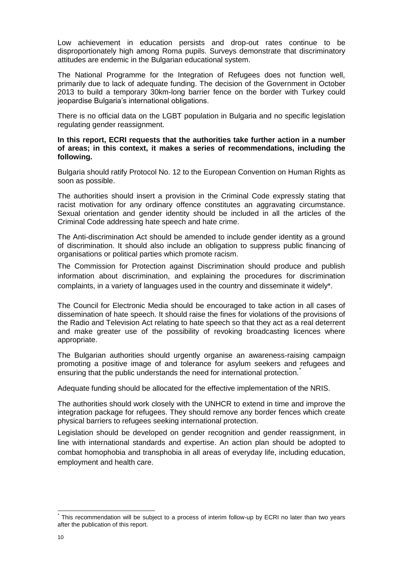Low achievement in education persists and drop-out rates continue to be disproportionately high among Roma pupils. Surveys demonstrate that discriminatory attitudes are endemic in the Bulgarian educational system.

The National Programme for the Integration of Refugees does not function well, primarily due to lack of adequate funding. The decision of the Government in October 2013 to build a temporary 30km-long barrier fence on the border with Turkey could jeopardise Bulgaria's international obligations.

There is no official data on the LGBT population in Bulgaria and no specific legislation regulating gender reassignment.

## **In this report, ECRI requests that the authorities take further action in a number of areas; in this context, it makes a series of recommendations, including the following.**

Bulgaria should ratify Protocol No. 12 to the European Convention on Human Rights as soon as possible.

The authorities should insert a provision in the Criminal Code expressly stating that racist motivation for any ordinary offence constitutes an aggravating circumstance. Sexual orientation and gender identity should be included in all the articles of the Criminal Code addressing hate speech and hate crime.

The Anti-discrimination Act should be amended to include gender identity as a ground of discrimination. It should also include an obligation to suppress public financing of organisations or political parties which promote racism.

The Commission for Protection against Discrimination should produce and publish information about discrimination, and explaining the procedures for discrimination complaints, in a variety of languages used in the country and disseminate it widely\*.

The Council for Electronic Media should be encouraged to take action in all cases of dissemination of hate speech. It should raise the fines for violations of the provisions of the Radio and Television Act relating to hate speech so that they act as a real deterrent and make greater use of the possibility of revoking broadcasting licences where appropriate.

The Bulgarian authorities should urgently organise an awareness-raising campaign promoting a positive image of and tolerance for asylum seekers and refugees and ensuring that the public understands the need for international protection. *\**

Adequate funding should be allocated for the effective implementation of the NRIS.

The authorities should work closely with the UNHCR to extend in time and improve the integration package for refugees. They should remove any border fences which create physical barriers to refugees seeking international protection.

Legislation should be developed on gender recognition and gender reassignment, in line with international standards and expertise. An action plan should be adopted to combat homophobia and transphobia in all areas of everyday life, including education, employment and health care.

 $\overline{a}$ *\** This recommendation will be subject to a process of interim follow-up by ECRI no later than two years after the publication of this report.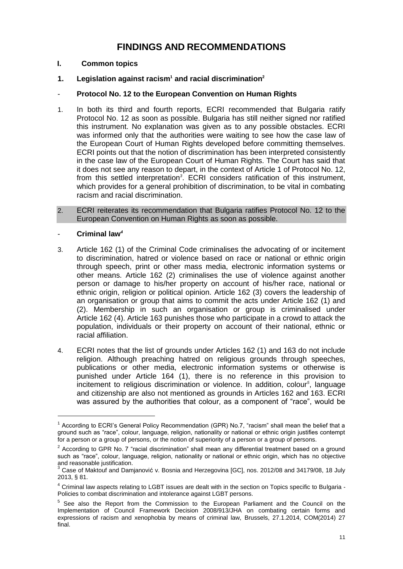# **FINDINGS AND RECOMMENDATIONS**

- <span id="page-10-1"></span><span id="page-10-0"></span>**I. Common topics**
- <span id="page-10-2"></span>**1. Legislation against racism<sup>1</sup> and racial discrimination<sup>2</sup>**
- <span id="page-10-3"></span>- **Protocol No. 12 to the European Convention on Human Rights**
- 1. In both its third and fourth reports, ECRI recommended that Bulgaria ratify Protocol No. 12 as soon as possible. Bulgaria has still neither signed nor ratified this instrument. No explanation was given as to any possible obstacles. ECRI was informed only that the authorities were waiting to see how the case law of the European Court of Human Rights developed before committing themselves. ECRI points out that the notion of discrimination has been interpreted consistently in the case law of the European Court of Human Rights. The Court has said that it does not see any reason to depart, in the context of Article 1 of Protocol No. 12, from this settled interpretation<sup>3</sup>. ECRI considers ratification of this instrument, which provides for a general prohibition of discrimination, to be vital in combating racism and racial discrimination.
- 2. ECRI reiterates its recommendation that Bulgaria ratifies Protocol No. 12 to the European Convention on Human Rights as soon as possible.
- <span id="page-10-4"></span>- **Criminal law***<sup>4</sup>*

-

- 3. Article 162 (1) of the Criminal Code criminalises the advocating of or incitement to discrimination, hatred or violence based on race or national or ethnic origin through speech, print or other mass media, electronic information systems or other means. Article 162 (2) criminalises the use of violence against another person or damage to his/her property on account of his/her race, national or ethnic origin, religion or political opinion. Article 162 (3) covers the leadership of an organisation or group that aims to commit the acts under Article 162 (1) and (2). Membership in such an organisation or group is criminalised under Article 162 (4). Article 163 punishes those who participate in a crowd to attack the population, individuals or their property on account of their national, ethnic or racial affiliation.
- 4. ECRI notes that the list of grounds under Articles 162 (1) and 163 do not include religion. Although preaching hatred on religious grounds through speeches, publications or other media, electronic information systems or otherwise is punished under Article 164 (1), there is no reference in this provision to incitement to religious discrimination or violence. In addition, colour*<sup>5</sup>* , language and citizenship are also not mentioned as grounds in Articles 162 and 163. ECRI was assured by the authorities that colour, as a component of "race", would be

<sup>&</sup>lt;sup>1</sup> According to ECRI's General Policy Recommendation (GPR) No.7, "racism" shall mean the belief that a ground such as "race", colour, language, religion, nationality or national or ethnic origin justifies contempt for a person or a group of persons, or the notion of superiority of a person or a group of persons.

 $2$  According to GPR No. 7 "racial discrimination" shall mean any differential treatment based on a ground such as "race", colour, language, religion, nationality or national or ethnic origin, which has no objective and reasonable justification.

<sup>3</sup> Case of Maktouf and Damjanović v. Bosnia and Herzegovina [GC], nos. 2012/08 and 34179/08, 18 July 2013, § 81.

<sup>4</sup> Criminal law aspects relating to LGBT issues are dealt with in the section on Topics specific to Bulgaria - Policies to combat discrimination and intolerance against LGBT persons.

<sup>&</sup>lt;sup>5</sup> See also the Report from the Commission to the European Parliament and the Council on the Implementation of Council Framework Decision 2008/913/JHA on combating certain forms and expressions of racism and xenophobia by means of criminal law, Brussels, 27.1.2014, COM(2014) 27 final.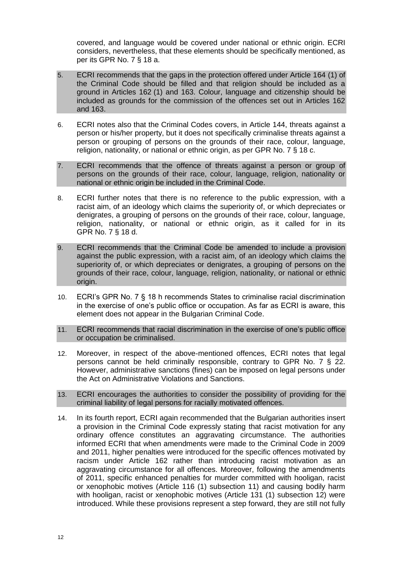covered, and language would be covered under national or ethnic origin. ECRI considers, nevertheless, that these elements should be specifically mentioned, as per its GPR No. 7 § 18 a.

- 5. ECRI recommends that the gaps in the protection offered under Article 164 (1) of the Criminal Code should be filled and that religion should be included as a ground in Articles 162 (1) and 163. Colour, language and citizenship should be included as grounds for the commission of the offences set out in Articles 162 and 163.
- 6. ECRI notes also that the Criminal Codes covers, in Article 144, threats against a person or his/her property, but it does not specifically criminalise threats against a person or grouping of persons on the grounds of their race, colour, language, religion, nationality, or national or ethnic origin, as per GPR No. 7 § 18 c.
- 7. ECRI recommends that the offence of threats against a person or group of persons on the grounds of their race, colour, language, religion, nationality or national or ethnic origin be included in the Criminal Code.
- 8. ECRI further notes that there is no reference to the public expression, with a racist aim, of an ideology which claims the superiority of, or which depreciates or denigrates, a grouping of persons on the grounds of their race, colour, language, religion, nationality, or national or ethnic origin, as it called for in its GPR No. 7 § 18 d.
- 9. ECRI recommends that the Criminal Code be amended to include a provision against the public expression, with a racist aim, of an ideology which claims the superiority of, or which depreciates or denigrates, a grouping of persons on the grounds of their race, colour, language, religion, nationality, or national or ethnic origin.
- 10. ECRI's GPR No. 7 § 18 h recommends States to criminalise racial discrimination in the exercise of one's public office or occupation. As far as ECRI is aware, this element does not appear in the Bulgarian Criminal Code.
- 11. ECRI recommends that racial discrimination in the exercise of one's public office or occupation be criminalised.
- 12. Moreover, in respect of the above-mentioned offences, ECRI notes that legal persons cannot be held criminally responsible, contrary to GPR No. 7 § 22. However, administrative sanctions (fines) can be imposed on legal persons under the Act on Administrative Violations and Sanctions.
- 13. ECRI encourages the authorities to consider the possibility of providing for the criminal liability of legal persons for racially motivated offences.
- 14. In its fourth report, ECRI again recommended that the Bulgarian authorities insert a provision in the Criminal Code expressly stating that racist motivation for any ordinary offence constitutes an aggravating circumstance. The authorities informed ECRI that when amendments were made to the Criminal Code in 2009 and 2011, higher penalties were introduced for the specific offences motivated by racism under Article 162 rather than introducing racist motivation as an aggravating circumstance for all offences. Moreover, following the amendments of 2011, specific enhanced penalties for murder committed with hooligan, racist or xenophobic motives (Article 116 (1) subsection 11) and causing bodily harm with hooligan, racist or xenophobic motives (Article 131 (1) subsection 12) were introduced. While these provisions represent a step forward, they are still not fully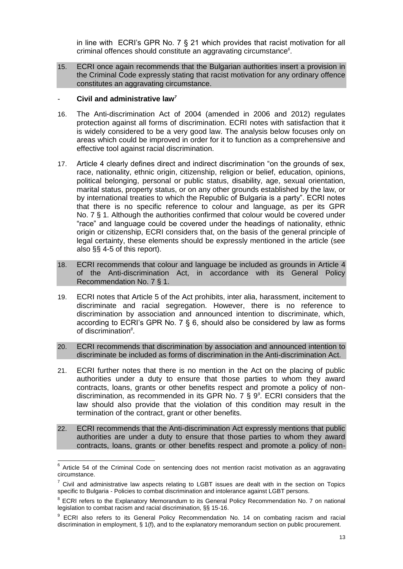in line with ECRI's GPR No. 7 § 21 which provides that racist motivation for all criminal offences should constitute an aggravating circumstance*<sup>6</sup>* .

15. ECRI once again recommends that the Bulgarian authorities insert a provision in the Criminal Code expressly stating that racist motivation for any ordinary offence constitutes an aggravating circumstance.

## <span id="page-12-0"></span>- **Civil and administrative law***<sup>7</sup>*

- 16. The Anti-discrimination Act of 2004 (amended in 2006 and 2012) regulates protection against all forms of discrimination. ECRI notes with satisfaction that it is widely considered to be a very good law. The analysis below focuses only on areas which could be improved in order for it to function as a comprehensive and effective tool against racial discrimination.
- 17. Article 4 clearly defines direct and indirect discrimination "on the grounds of sex, race, nationality, ethnic origin, citizenship, religion or belief, education, opinions, political belonging, personal or public status, disability, age, sexual orientation, marital status, property status, or on any other grounds established by the law, or by international treaties to which the Republic of Bulgaria is a party". ECRI notes that there is no specific reference to colour and language, as per its GPR No. 7 § 1. Although the authorities confirmed that colour would be covered under "race" and language could be covered under the headings of nationality, ethnic origin or citizenship, ECRI considers that, on the basis of the general principle of legal certainty, these elements should be expressly mentioned in the article (see also §§ 4-5 of this report).
- 18. ECRI recommends that colour and language be included as grounds in Article 4 of the Anti-discrimination Act, in accordance with its General Policy Recommendation No. 7 § 1.
- 19. ECRI notes that Article 5 of the Act prohibits, inter alia, harassment, incitement to discriminate and racial segregation. However, there is no reference to discrimination by association and announced intention to discriminate, which, according to ECRI's GPR No. 7 § 6, should also be considered by law as forms of discrimination*<sup>8</sup>* .
- 20. ECRI recommends that discrimination by association and announced intention to discriminate be included as forms of discrimination in the Anti-discrimination Act.
- 21. ECRI further notes that there is no mention in the Act on the placing of public authorities under a duty to ensure that those parties to whom they award contracts, loans, grants or other benefits respect and promote a policy of nondiscrimination, as recommended in its GPR No. 7 § 9*<sup>9</sup>* . ECRI considers that the law should also provide that the violation of this condition may result in the termination of the contract, grant or other benefits.
- 22. ECRI recommends that the Anti-discrimination Act expressly mentions that public authorities are under a duty to ensure that those parties to whom they award contracts, loans, grants or other benefits respect and promote a policy of non-

 6 Article 54 of the Criminal Code on sentencing does not mention racist motivation as an aggravating circumstance.

 $<sup>7</sup>$  Civil and administrative law aspects relating to LGBT issues are dealt with in the section on Topics</sup> specific to Bulgaria - Policies to combat discrimination and intolerance against LGBT persons.

<sup>&</sup>lt;sup>8</sup> ECRI refers to the Explanatory Memorandum to its General Policy Recommendation No. 7 on national legislation to combat racism and racial discrimination, §§ 15-16.

<sup>&</sup>lt;sup>9</sup> ECRI also refers to its General Policy Recommendation No. 14 on combating racism and racial discrimination in employment, § 1(f), and to the explanatory memorandum section on public procurement.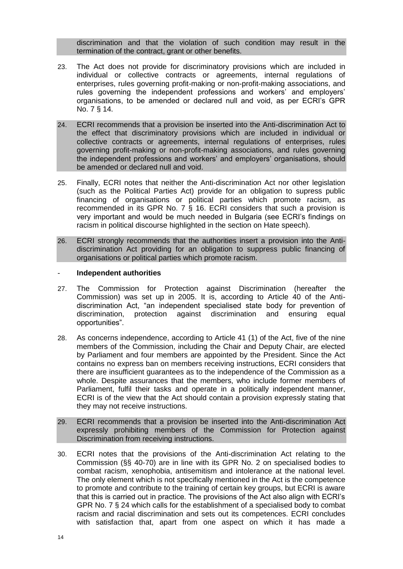discrimination and that the violation of such condition may result in the termination of the contract, grant or other benefits.

- 23. The Act does not provide for discriminatory provisions which are included in individual or collective contracts or agreements, internal regulations of enterprises, rules governing profit-making or non-profit-making associations, and rules governing the independent professions and workers' and employers' organisations, to be amended or declared null and void, as per ECRI's GPR No. 7 § 14.
- 24. ECRI recommends that a provision be inserted into the Anti-discrimination Act to the effect that discriminatory provisions which are included in individual or collective contracts or agreements, internal regulations of enterprises, rules governing profit-making or non-profit-making associations, and rules governing the independent professions and workers' and employers' organisations, should be amended or declared null and void.
- 25. Finally, ECRI notes that neither the Anti-discrimination Act nor other legislation (such as the Political Parties Act) provide for an obligation to supress public financing of organisations or political parties which promote racism, as recommended in its GPR No. 7 § 16. ECRI considers that such a provision is very important and would be much needed in Bulgaria (see ECRI's findings on racism in political discourse highlighted in the section on Hate speech).
- 26. ECRI strongly recommends that the authorities insert a provision into the Antidiscrimination Act providing for an obligation to suppress public financing of organisations or political parties which promote racism.

#### <span id="page-13-0"></span>- **Independent authorities**

- 27. The Commission for Protection against Discrimination (hereafter the Commission) was set up in 2005. It is, according to Article 40 of the Antidiscrimination Act, "an independent specialised state body for prevention of discrimination, protection against discrimination and ensuring equal opportunities".
- 28. As concerns independence, according to Article 41 (1) of the Act, five of the nine members of the Commission, including the Chair and Deputy Chair, are elected by Parliament and four members are appointed by the President. Since the Act contains no express ban on members receiving instructions, ECRI considers that there are insufficient guarantees as to the independence of the Commission as a whole. Despite assurances that the members, who include former members of Parliament, fulfil their tasks and operate in a politically independent manner, ECRI is of the view that the Act should contain a provision expressly stating that they may not receive instructions.
- 29. ECRI recommends that a provision be inserted into the Anti-discrimination Act expressly prohibiting members of the Commission for Protection against Discrimination from receiving instructions.
- 30. ECRI notes that the provisions of the Anti-discrimination Act relating to the Commission (§§ 40-70) are in line with its GPR No. 2 on specialised bodies to combat racism, xenophobia, antisemitism and intolerance at the national level. The only element which is not specifically mentioned in the Act is the competence to promote and contribute to the training of certain key groups, but ECRI is aware that this is carried out in practice. The provisions of the Act also align with ECRI's GPR No. 7 § 24 which calls for the establishment of a specialised body to combat racism and racial discrimination and sets out its competences. ECRI concludes with satisfaction that, apart from one aspect on which it has made a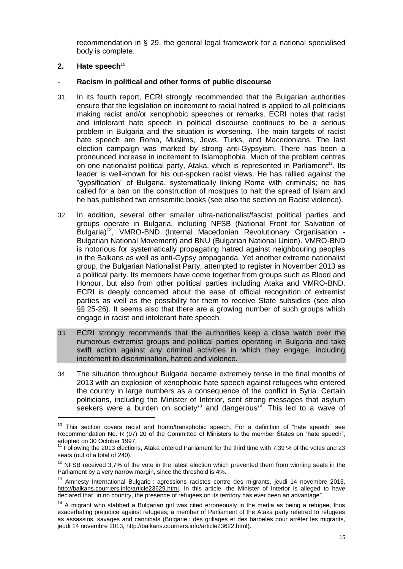recommendation in § 29, the general legal framework for a national specialised body is complete.

# <span id="page-14-0"></span>**2. Hate speech***<sup>10</sup>*

-

# <span id="page-14-1"></span>- **Racism in political and other forms of public discourse**

- 31. In its fourth report, ECRI strongly recommended that the Bulgarian authorities ensure that the legislation on incitement to racial hatred is applied to all politicians making racist and/or xenophobic speeches or remarks. ECRI notes that racist and intolerant hate speech in political discourse continues to be a serious problem in Bulgaria and the situation is worsening. The main targets of racist hate speech are Roma, Muslims, Jews, Turks, and Macedonians. The last election campaign was marked by strong anti-Gypsyism. There has been a pronounced increase in incitement to Islamophobia. Much of the problem centres on one nationalist political party, Ataka, which is represented in Parliament*<sup>11</sup>*. Its leader is well-known for his out-spoken racist views. He has rallied against the "gypsification" of Bulgaria, systematically linking Roma with criminals; he has called for a ban on the construction of mosques to halt the spread of Islam and he has published two antisemitic books (see also the section on Racist violence).
- 32. In addition, several other smaller ultra-nationalist/fascist political parties and groups operate in Bulgaria, including NFSB (National Front for Salvation of Bulgaria)<sup>12</sup>, VMRO-BND (Internal Macedonian Revolutionary Organisation -Bulgarian National Movement) and BNU (Bulgarian National Union). VMRO-BND is notorious for systematically propagating hatred against neighbouring peoples in the Balkans as well as anti-Gypsy propaganda. Yet another extreme nationalist group, the Bulgarian Nationalist Party, attempted to register in November 2013 as a political party. Its members have come together from groups such as Blood and Honour, but also from other political parties including Ataka and VMRO-BND. ECRI is deeply concerned about the ease of official recognition of extremist parties as well as the possibility for them to receive State subsidies (see also §§ 25-26). It seems also that there are a growing number of such groups which engage in racist and intolerant hate speech.
- 33. ECRI strongly recommends that the authorities keep a close watch over the numerous extremist groups and political parties operating in Bulgaria and take swift action against any criminal activities in which they engage, including incitement to discrimination, hatred and violence.
- 34. The situation throughout Bulgaria became extremely tense in the final months of 2013 with an explosion of xenophobic hate speech against refugees who entered the country in large numbers as a consequence of the conflict in Syria. Certain politicians, including the Minister of Interior, sent strong messages that asylum seekers were a burden on society*<sup>13</sup>* and dangerous*<sup>14</sup>*. This led to a wave of

 $10$  This section covers racist and homo/transphobic speech. For a definition of "hate speech" see Recommendation No. R (97) 20 of the Committee of Ministers to the member States on "hate speech", adopted on 30 October 1997.

 $11$  Following the 2013 elections, Ataka entered Parliament for the third time with 7.39 % of the votes and 23 seats (out of a total of 240).

 $12$  NFSB received 3,7% of the vote in the latest election which prevented them from winning seats in the Parliament by a very narrow margin, since the threshold is 4%.

<sup>&</sup>lt;sup>13</sup> Amnesty International Bulgarie : agressions racistes contre des migrants, jeudi 14 novembre 2013, [http://balkans.courriers.info/article23629.html.](http://balkans.courriers.info/article23629.html) In this article, the Minister of Interior is alleged to have declared that "in no country, the presence of refugees on its territory has ever been an advantage".

 $14$  A migrant who stabbed a Bulgarian girl was cited erroneously in the media as being a refugee, thus exacerbating prejudice against refugees; a member of Parliament of the Ataka party referred to refugees as assassins, savages and cannibals (Bulgarie : des grillages et des barbelés pour arrêter les migrants, jeudi 14 novembre 2013[, http://balkans.courriers.info/article23622.html\)](http://balkans.courriers.info/article23622.html).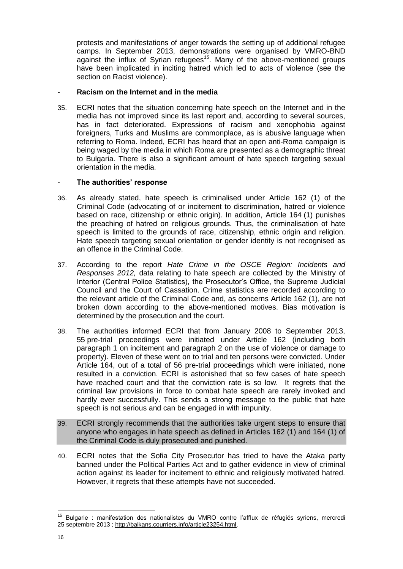protests and manifestations of anger towards the setting up of additional refugee camps. In September 2013, demonstrations were organised by VMRO-BND against the influx of Syrian refugees*<sup>15</sup>*. Many of the above-mentioned groups have been implicated in inciting hatred which led to acts of violence (see the section on Racist violence).

# <span id="page-15-0"></span>- **Racism on the Internet and in the media**

35. ECRI notes that the situation concerning hate speech on the Internet and in the media has not improved since its last report and, according to several sources, has in fact deteriorated. Expressions of racism and xenophobia against foreigners, Turks and Muslims are commonplace, as is abusive language when referring to Roma. Indeed, ECRI has heard that an open anti-Roma campaign is being waged by the media in which Roma are presented as a demographic threat to Bulgaria. There is also a significant amount of hate speech targeting sexual orientation in the media.

# <span id="page-15-1"></span>- **The authorities' response**

- 36. As already stated, hate speech is criminalised under Article 162 (1) of the Criminal Code (advocating of or incitement to discrimination, hatred or violence based on race, citizenship or ethnic origin). In addition, Article 164 (1) punishes the preaching of hatred on religious grounds. Thus, the criminalisation of hate speech is limited to the grounds of race, citizenship, ethnic origin and religion. Hate speech targeting sexual orientation or gender identity is not recognised as an offence in the Criminal Code.
- 37. According to the report *Hate Crime in the OSCE Region: Incidents and Responses 2012,* data relating to hate speech are collected by the Ministry of Interior (Central Police Statistics), the Prosecutor's Office, the Supreme Judicial Council and the Court of Cassation. Crime statistics are recorded according to the relevant article of the Criminal Code and, as concerns Article 162 (1), are not broken down according to the above-mentioned motives. Bias motivation is determined by the prosecution and the court.
- 38. The authorities informed ECRI that from January 2008 to September 2013, 55 pre-trial proceedings were initiated under Article 162 (including both paragraph 1 on incitement and paragraph 2 on the use of violence or damage to property). Eleven of these went on to trial and ten persons were convicted. Under Article 164, out of a total of 56 pre-trial proceedings which were initiated, none resulted in a conviction. ECRI is astonished that so few cases of hate speech have reached court and that the conviction rate is so low. It regrets that the criminal law provisions in force to combat hate speech are rarely invoked and hardly ever successfully. This sends a strong message to the public that hate speech is not serious and can be engaged in with impunity.
- 39. ECRI strongly recommends that the authorities take urgent steps to ensure that anyone who engages in hate speech as defined in Articles 162 (1) and 164 (1) of the Criminal Code is duly prosecuted and punished.
- 40. ECRI notes that the Sofia City Prosecutor has tried to have the Ataka party banned under the Political Parties Act and to gather evidence in view of criminal action against its leader for incitement to ethnic and religiously motivated hatred. However, it regrets that these attempts have not succeeded.

 $\overline{a}$ <sup>15</sup> Bulgarie : manifestation des nationalistes du VMRO contre l'afflux de réfugiés syriens, mercredi 25 septembre 2013 ; [http://balkans.courriers.info/article23254.html.](http://balkans.courriers.info/article23254.html)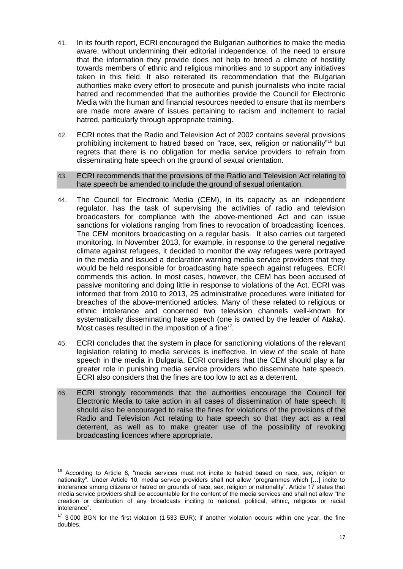- 41. In its fourth report, ECRI encouraged the Bulgarian authorities to make the media aware, without undermining their editorial independence, of the need to ensure that the information they provide does not help to breed a climate of hostility towards members of ethnic and religious minorities and to support any initiatives taken in this field. It also reiterated its recommendation that the Bulgarian authorities make every effort to prosecute and punish journalists who incite racial hatred and recommended that the authorities provide the Council for Electronic Media with the human and financial resources needed to ensure that its members are made more aware of issues pertaining to racism and incitement to racial hatred, particularly through appropriate training.
- 42. ECRI notes that the Radio and Television Act of 2002 contains several provisions prohibiting incitement to hatred based on "race, sex, religion or nationality"*<sup>16</sup>* but regrets that there is no obligation for media service providers to refrain from disseminating hate speech on the ground of sexual orientation.
- 43. ECRI recommends that the provisions of the Radio and Television Act relating to hate speech be amended to include the ground of sexual orientation.
- 44. The Council for Electronic Media (CEM), in its capacity as an independent regulator, has the task of supervising the activities of radio and television broadcasters for compliance with the above-mentioned Act and can issue sanctions for violations ranging from fines to revocation of broadcasting licences. The CEM monitors broadcasting on a regular basis. It also carries out targeted monitoring. In November 2013, for example, in response to the general negative climate against refugees, it decided to monitor the way refugees were portrayed in the media and issued a declaration warning media service providers that they would be held responsible for broadcasting hate speech against refugees. ECRI commends this action. In most cases, however, the CEM has been accused of passive monitoring and doing little in response to violations of the Act. ECRI was informed that from 2010 to 2013, 25 administrative procedures were initiated for breaches of the above-mentioned articles. Many of these related to religious or ethnic intolerance and concerned two television channels well-known for systematically disseminating hate speech (one is owned by the leader of Ataka). Most cases resulted in the imposition of a fine*<sup>17</sup>* .
- 45. ECRI concludes that the system in place for sanctioning violations of the relevant legislation relating to media services is ineffective. In view of the scale of hate speech in the media in Bulgaria, ECRI considers that the CEM should play a far greater role in punishing media service providers who disseminate hate speech. ECRI also considers that the fines are too low to act as a deterrent.
- 46. ECRI strongly recommends that the authorities encourage the Council for Electronic Media to take action in all cases of dissemination of hate speech. It should also be encouraged to raise the fines for violations of the provisions of the Radio and Television Act relating to hate speech so that they act as a real deterrent, as well as to make greater use of the possibility of revoking broadcasting licences where appropriate.

1

 $16$  According to Article 8, "media services must not incite to hatred based on race, sex, religion or nationality". Under Article 10, media service providers shall not allow "programmes which […] incite to intolerance among citizens or hatred on grounds of race, sex, religion or nationality". Article 17 states that media service providers shall be accountable for the content of the media services and shall not allow "the creation or distribution of any broadcasts inciting to national, political, ethnic, religious or racial intolerance".

 $17$  3 000 BGN for the first violation (1 533 EUR); if another violation occurs within one year, the fine doubles.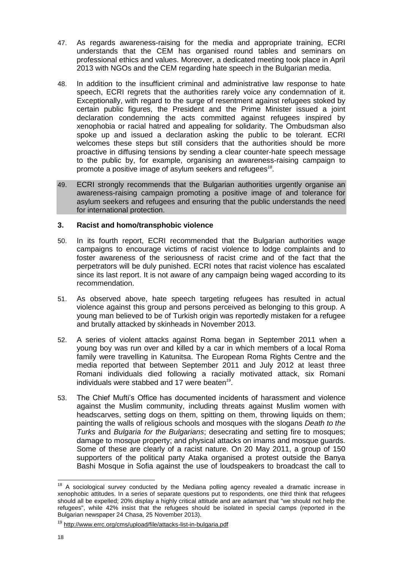- 47. As regards awareness-raising for the media and appropriate training, ECRI understands that the CEM has organised round tables and seminars on professional ethics and values. Moreover, a dedicated meeting took place in April 2013 with NGOs and the CEM regarding hate speech in the Bulgarian media.
- 48. In addition to the insufficient criminal and administrative law response to hate speech, ECRI regrets that the authorities rarely voice any condemnation of it. Exceptionally, with regard to the surge of resentment against refugees stoked by certain public figures, the President and the Prime Minister issued a joint declaration condemning the acts committed against refugees inspired by xenophobia or racial hatred and appealing for solidarity. The Ombudsman also spoke up and issued a declaration asking the public to be tolerant. ECRI welcomes these steps but still considers that the authorities should be more proactive in diffusing tensions by sending a clear counter-hate speech message to the public by, for example, organising an awareness-raising campaign to promote a positive image of asylum seekers and refugees*<sup>18</sup>* .
- 49. ECRI strongly recommends that the Bulgarian authorities urgently organise an awareness-raising campaign promoting a positive image of and tolerance for asylum seekers and refugees and ensuring that the public understands the need for international protection.

# <span id="page-17-0"></span>**3. Racist and homo/transphobic violence**

- 50. In its fourth report, ECRI recommended that the Bulgarian authorities wage campaigns to encourage victims of racist violence to lodge complaints and to foster awareness of the seriousness of racist crime and of the fact that the perpetrators will be duly punished. ECRI notes that racist violence has escalated since its last report. It is not aware of any campaign being waged according to its recommendation.
- 51. As observed above, hate speech targeting refugees has resulted in actual violence against this group and persons perceived as belonging to this group. A young man believed to be of Turkish origin was reportedly mistaken for a refugee and brutally attacked by skinheads in November 2013.
- 52. A series of violent attacks against Roma began in September 2011 when a young boy was run over and killed by a car in which members of a local Roma family were travelling in Katunitsa. The European Roma Rights Centre and the media reported that between September 2011 and July 2012 at least three Romani individuals died following a racially motivated attack, six Romani individuals were stabbed and 17 were beaten*<sup>19</sup>* .
- 53. The Chief Mufti's Office has documented incidents of harassment and violence against the Muslim community, including threats against Muslim women with headscarves, setting dogs on them, spitting on them, throwing liquids on them; painting the walls of religious schools and mosques with the slogans *Death to the Turks* and *Bulgaria for the Bulgarians*; desecrating and setting fire to mosques; damage to mosque property; and physical attacks on imams and mosque guards. Some of these are clearly of a racist nature. On 20 May 2011, a group of 150 supporters of the political party Ataka organised a protest outside the Banya Bashi Mosque in Sofia against the use of loudspeakers to broadcast the call to

 $\overline{a}$  $18$  A sociological survey conducted by the Mediana polling agency revealed a dramatic increase in xenophobic attitudes. In a series of separate questions put to respondents, one third think that refugees should all be expelled; 20% display a highly critical attitude and are adamant that "we should not help the refugees", while 42% insist that the refugees should be isolated in special camps (reported in the Bulgarian newspaper 24 Chasa, 25 November 2013).

<sup>&</sup>lt;sup>19</sup> <http://www.errc.org/cms/upload/file/attacks-list-in-bulgaria.pdf>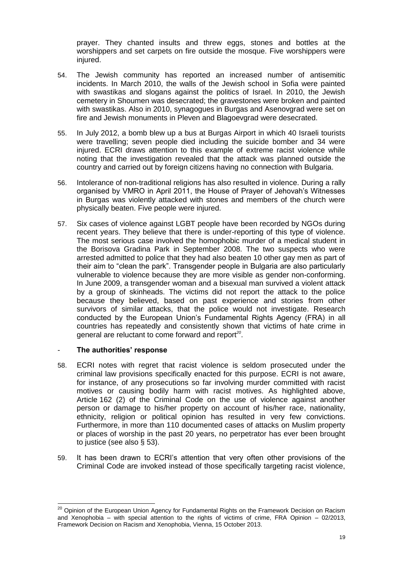prayer. They chanted insults and threw eggs, stones and bottles at the worshippers and set carpets on fire outside the mosque. Five worshippers were injured.

- 54. The Jewish community has reported an increased number of antisemitic incidents. In March 2010, the walls of the Jewish school in Sofia were painted with swastikas and slogans against the politics of Israel. In 2010, the Jewish cemetery in Shoumen was desecrated; the gravestones were broken and painted with swastikas. Also in 2010, synagogues in Burgas and Asenovgrad were set on fire and Jewish monuments in Pleven and Blagoevgrad were desecrated.
- 55. In July 2012, a bomb blew up a bus at Burgas Airport in which 40 Israeli tourists were travelling; seven people died including the suicide bomber and 34 were injured. ECRI draws attention to this example of extreme racist violence while noting that the investigation revealed that the attack was planned outside the country and carried out by foreign citizens having no connection with Bulgaria.
- 56. Intolerance of non-traditional religions has also resulted in violence. During a rally organised by VMRO in April 2011, the House of Prayer of Jehovah's Witnesses in Burgas was violently attacked with stones and members of the church were physically beaten. Five people were injured.
- 57. Six cases of violence against LGBT people have been recorded by NGOs during recent years. They believe that there is under-reporting of this type of violence. The most serious case involved the homophobic murder of a medical student in the Borisova Gradina Park in September 2008. The two suspects who were arrested admitted to police that they had also beaten 10 other gay men as part of their aim to "clean the park". Transgender people in Bulgaria are also particularly vulnerable to violence because they are more visible as gender non-conforming. In June 2009, a transgender woman and a bisexual man survived a violent attack by a group of skinheads. The victims did not report the attack to the police because they believed, based on past experience and stories from other survivors of similar attacks, that the police would not investigate. Research conducted by the European Union's Fundamental Rights Agency (FRA) in all countries has repeatedly and consistently shown that victims of hate crime in general are reluctant to come forward and report*<sup>20</sup>* .

# <span id="page-18-0"></span>- **The authorities' response**

- 58. ECRI notes with regret that racist violence is seldom prosecuted under the criminal law provisions specifically enacted for this purpose. ECRI is not aware, for instance, of any prosecutions so far involving murder committed with racist motives or causing bodily harm with racist motives. As highlighted above, Article 162 (2) of the Criminal Code on the use of violence against another person or damage to his/her property on account of his/her race, nationality, ethnicity, religion or political opinion has resulted in very few convictions. Furthermore, in more than 110 documented cases of attacks on Muslim property or places of worship in the past 20 years, no perpetrator has ever been brought to justice (see also § 53).
- 59. It has been drawn to ECRI's attention that very often other provisions of the Criminal Code are invoked instead of those specifically targeting racist violence,

<sup>1</sup> <sup>20</sup> Opinion of the European Union Agency for Fundamental Rights on the Framework Decision on Racism and Xenophobia – with special attention to the rights of victims of crime, FRA Opinion – 02/2013, Framework Decision on Racism and Xenophobia, Vienna, 15 October 2013.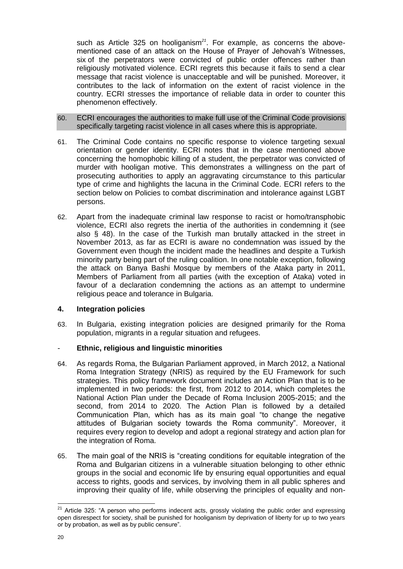such as Article 325 on hooliganism*21*. For example, as concerns the abovementioned case of an attack on the House of Prayer of Jehovah's Witnesses, six of the perpetrators were convicted of public order offences rather than religiously motivated violence. ECRI regrets this because it fails to send a clear message that racist violence is unacceptable and will be punished. Moreover, it contributes to the lack of information on the extent of racist violence in the country. ECRI stresses the importance of reliable data in order to counter this phenomenon effectively.

- 60. ECRI encourages the authorities to make full use of the Criminal Code provisions specifically targeting racist violence in all cases where this is appropriate.
- 61. The Criminal Code contains no specific response to violence targeting sexual orientation or gender identity. ECRI notes that in the case mentioned above concerning the homophobic killing of a student, the perpetrator was convicted of murder with hooligan motive. This demonstrates a willingness on the part of prosecuting authorities to apply an aggravating circumstance to this particular type of crime and highlights the lacuna in the Criminal Code. ECRI refers to the section below on Policies to combat discrimination and intolerance against LGBT persons.
- 62. Apart from the inadequate criminal law response to racist or homo/transphobic violence, ECRI also regrets the inertia of the authorities in condemning it (see also § 48). In the case of the Turkish man brutally attacked in the street in November 2013, as far as ECRI is aware no condemnation was issued by the Government even though the incident made the headlines and despite a Turkish minority party being part of the ruling coalition. In one notable exception, following the attack on Banya Bashi Mosque by members of the Ataka party in 2011, Members of Parliament from all parties (with the exception of Ataka) voted in favour of a declaration condemning the actions as an attempt to undermine religious peace and tolerance in Bulgaria.

# <span id="page-19-0"></span>**4. Integration policies**

63. In Bulgaria, existing integration policies are designed primarily for the Roma population, migrants in a regular situation and refugees.

# <span id="page-19-1"></span>- **Ethnic, religious and linguistic minorities**

- 64. As regards Roma, the Bulgarian Parliament approved, in March 2012, a National Roma Integration Strategy (NRIS) as required by the EU Framework for such strategies. This policy framework document includes an Action Plan that is to be implemented in two periods: the first, from 2012 to 2014, which completes the National Action Plan under the Decade of Roma Inclusion 2005-2015; and the second, from 2014 to 2020. The Action Plan is followed by a detailed Communication Plan, which has as its main goal "to change the negative attitudes of Bulgarian society towards the Roma community". Moreover, it requires every region to develop and adopt a regional strategy and action plan for the integration of Roma.
- 65. The main goal of the NRIS is "creating conditions for equitable integration of the Roma and Bulgarian citizens in a vulnerable situation belonging to other ethnic groups in the social and economic life by ensuring equal opportunities and equal access to rights, goods and services, by involving them in all public spheres and improving their quality of life, while observing the principles of equality and non-

<sup>1</sup>  $21$  Article 325: "A person who performs indecent acts, grossly violating the public order and expressing open disrespect for society, shall be punished for hooliganism by deprivation of liberty for up to two years or by probation, as well as by public censure".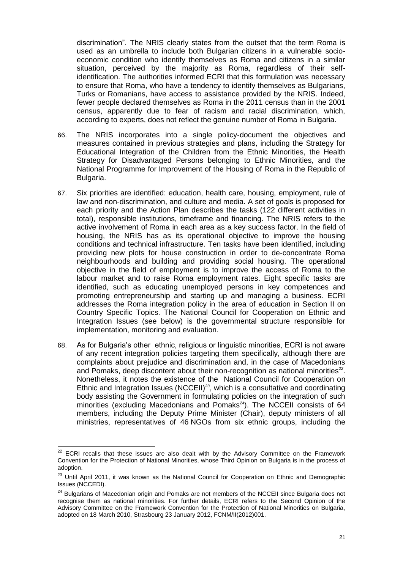discrimination". The NRIS clearly states from the outset that the term Roma is used as an umbrella to include both Bulgarian citizens in a vulnerable socioeconomic condition who identify themselves as Roma and citizens in a similar situation, perceived by the majority as Roma, regardless of their selfidentification. The authorities informed ECRI that this formulation was necessary to ensure that Roma, who have a tendency to identify themselves as Bulgarians, Turks or Romanians, have access to assistance provided by the NRIS. Indeed, fewer people declared themselves as Roma in the 2011 census than in the 2001 census, apparently due to fear of racism and racial discrimination, which, according to experts, does not reflect the genuine number of Roma in Bulgaria.

- 66. The NRIS incorporates into a single policy-document the objectives and measures contained in previous strategies and plans, including the Strategy for Educational Integration of the Children from the Ethnic Minorities, the Health Strategy for Disadvantaged Persons belonging to Ethnic Minorities, and the National Programme for Improvement of the Housing of Roma in the Republic of Bulgaria.
- 67. Six priorities are identified: education, health care, housing, employment, rule of law and non-discrimination, and culture and media. A set of goals is proposed for each priority and the Action Plan describes the tasks (122 different activities in total), responsible institutions, timeframe and financing. The NRIS refers to the active involvement of Roma in each area as a key success factor. In the field of housing, the NRIS has as its operational objective to improve the housing conditions and technical infrastructure. Ten tasks have been identified, including providing new plots for house construction in order to de-concentrate Roma neighbourhoods and building and providing social housing. The operational objective in the field of employment is to improve the access of Roma to the labour market and to raise Roma employment rates. Eight specific tasks are identified, such as educating unemployed persons in key competences and promoting entrepreneurship and starting up and managing a business. ECRI addresses the Roma integration policy in the area of education in Section II on Country Specific Topics. The National Council for Cooperation on Ethnic and Integration Issues (see below) is the governmental structure responsible for implementation, monitoring and evaluation.
- 68. As for Bulgaria's other ethnic, religious or linguistic minorities, ECRI is not aware of any recent integration policies targeting them specifically, although there are complaints about prejudice and discrimination and, in the case of Macedonians and Pomaks, deep discontent about their non-recognition as national minorities*<sup>22</sup>* . Nonetheless, it notes the existence of the National Council for Cooperation on Ethnic and Integration Issues (NCCEII)*<sup>23</sup>*, which is a consultative and coordinating body assisting the Government in formulating policies on the integration of such minorities (excluding Macedonians and Pomaks*<sup>24</sup>*). The NCCEII consists of 64 members, including the Deputy Prime Minister (Chair), deputy ministers of all ministries, representatives of 46 NGOs from six ethnic groups, including the

 $22$ ECRI recalls that these issues are also dealt with by the Advisory Committee on the Framework Convention for the Protection of National Minorities, whose Third Opinion on Bulgaria is in the process of adoption.

<sup>&</sup>lt;sup>23</sup> Until April 2011, it was known as the National Council for Cooperation on Ethnic and Demographic Issues (NCCEDI).

<sup>&</sup>lt;sup>24</sup> Bulgarians of Macedonian origin and Pomaks are not members of the NCCEII since Bulgaria does not recognise them as national minorities. For further details, ECRI refers to the Second Opinion of the Advisory Committee on the Framework Convention for the Protection of National Minorities on Bulgaria, adopted on 18 March 2010, Strasbourg 23 January 2012, FCNM/II(2012)001.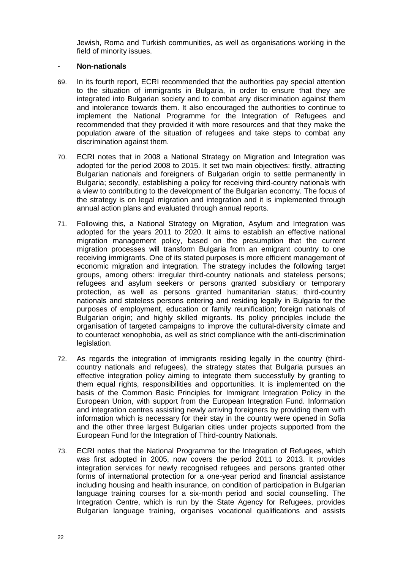Jewish, Roma and Turkish communities, as well as organisations working in the field of minority issues.

#### <span id="page-21-0"></span>- **Non-nationals**

- 69. In its fourth report, ECRI recommended that the authorities pay special attention to the situation of immigrants in Bulgaria, in order to ensure that they are integrated into Bulgarian society and to combat any discrimination against them and intolerance towards them. It also encouraged the authorities to continue to implement the National Programme for the Integration of Refugees and recommended that they provided it with more resources and that they make the population aware of the situation of refugees and take steps to combat any discrimination against them.
- 70. ECRI notes that in 2008 a National Strategy on Migration and Integration was adopted for the period 2008 to 2015. It set two main objectives: firstly, attracting Bulgarian nationals and foreigners of Bulgarian origin to settle permanently in Bulgaria; secondly, establishing a policy for receiving third-country nationals with a view to contributing to the development of the Bulgarian economy. The focus of the strategy is on legal migration and integration and it is implemented through annual action plans and evaluated through annual reports.
- 71. Following this, a National Strategy on Migration, Asylum and Integration was adopted for the years 2011 to 2020. It aims to establish an effective national migration management policy, based on the presumption that the current migration processes will transform Bulgaria from an emigrant country to one receiving immigrants. One of its stated purposes is more efficient management of economic migration and integration. The strategy includes the following target groups, among others: irregular third-country nationals and stateless persons; refugees and asylum seekers or persons granted subsidiary or temporary protection, as well as persons granted humanitarian status; third-country nationals and stateless persons entering and residing legally in Bulgaria for the purposes of employment, education or family reunification; foreign nationals of Bulgarian origin; and highly skilled migrants. Its policy principles include the organisation of targeted campaigns to improve the cultural-diversity climate and to counteract xenophobia, as well as strict compliance with the anti-discrimination legislation.
- 72. As regards the integration of immigrants residing legally in the country (thirdcountry nationals and refugees), the strategy states that Bulgaria pursues an effective integration policy aiming to integrate them successfully by granting to them equal rights, responsibilities and opportunities. It is implemented on the basis of the Common Basic Principles for Immigrant Integration Policy in the European Union, with support from the European Integration Fund. Information and integration centres assisting newly arriving foreigners by providing them with information which is necessary for their stay in the country were opened in Sofia and the other three largest Bulgarian cities under projects supported from the European Fund for the Integration of Third-country Nationals.
- 73. ECRI notes that the National Programme for the Integration of Refugees, which was first adopted in 2005, now covers the period 2011 to 2013. It provides integration services for newly recognised refugees and persons granted other forms of international protection for a one-year period and financial assistance including housing and health insurance, on condition of participation in Bulgarian language training courses for a six-month period and social counselling. The Integration Centre, which is run by the State Agency for Refugees, provides Bulgarian language training, organises vocational qualifications and assists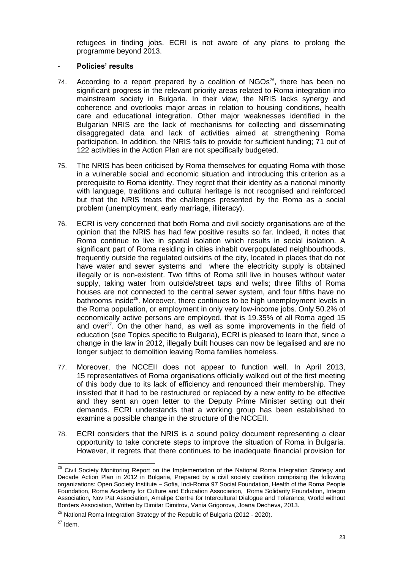refugees in finding jobs. ECRI is not aware of any plans to prolong the programme beyond 2013.

## <span id="page-22-0"></span>- **Policies' results**

- 74. According to a report prepared by a coalition of NGOs*<sup>25</sup>*, there has been no significant progress in the relevant priority areas related to Roma integration into mainstream society in Bulgaria. In their view, the NRIS lacks synergy and coherence and overlooks major areas in relation to housing conditions, health care and educational integration. Other major weaknesses identified in the Bulgarian NRIS are the lack of mechanisms for collecting and disseminating disaggregated data and lack of activities aimed at strengthening Roma participation. In addition, the NRIS fails to provide for sufficient funding; 71 out of 122 activities in the Action Plan are not specifically budgeted.
- 75. The NRIS has been criticised by Roma themselves for equating Roma with those in a vulnerable social and economic situation and introducing this criterion as a prerequisite to Roma identity. They regret that their identity as a national minority with language, traditions and cultural heritage is not recognised and reinforced but that the NRIS treats the challenges presented by the Roma as a social problem (unemployment, early marriage, illiteracy).
- 76. ECRI is very concerned that both Roma and civil society organisations are of the opinion that the NRIS has had few positive results so far. Indeed, it notes that Roma continue to live in spatial isolation which results in social isolation. A significant part of Roma residing in cities inhabit overpopulated neighbourhoods, frequently outside the regulated outskirts of the city, located in places that do not have water and sewer systems and where the electricity supply is obtained illegally or is non-existent. Two fifths of Roma still live in houses without water supply, taking water from outside/street taps and wells; three fifths of Roma houses are not connected to the central sewer system, and four fifths have no bathrooms inside*<sup>26</sup>* . Moreover, there continues to be high unemployment levels in the Roma population, or employment in only very low-income jobs. Only 50.2% of economically active persons are employed, that is 19.35% of all Roma aged 15 and over*<sup>27</sup>*. On the other hand, as well as some improvements in the field of education (see Topics specific to Bulgaria), ECRI is pleased to learn that, since a change in the law in 2012, illegally built houses can now be legalised and are no longer subject to demolition leaving Roma families homeless.
- 77. Moreover, the NCCEII does not appear to function well. In April 2013, 15 representatives of Roma organisations officially walked out of the first meeting of this body due to its lack of efficiency and renounced their membership. They insisted that it had to be restructured or replaced by a new entity to be effective and they sent an open letter to the Deputy Prime Minister setting out their demands. ECRI understands that a working group has been established to examine a possible change in the structure of the NCCEII.
- 78. ECRI considers that the NRIS is a sound policy document representing a clear opportunity to take concrete steps to improve the situation of Roma in Bulgaria. However, it regrets that there continues to be inadequate financial provision for

 $\overline{a}$ <sup>25</sup> Civil Society Monitoring Report on the Implementation of the National Roma Integration Strategy and Decade Action Plan in 2012 in Bulgaria, Prepared by a civil society coalition comprising the following organizations: Open Society Institute – Sofia, Indi-Roma 97 Social Foundation, Health of the Roma People Foundation, Roma Academy for Culture and Education Association, Roma Solidarity Foundation, Integro Association, Nov Pat Association, Amalipe Centre for Intercultural Dialogue and Tolerance, World without Borders Association, Written by Dimitar Dimitrov, Vania Grigorova, Joana Decheva, 2013.

 $26$  National Roma Integration Strategy of the Republic of Bulgaria (2012 - 2020).

<sup>27</sup> Idem.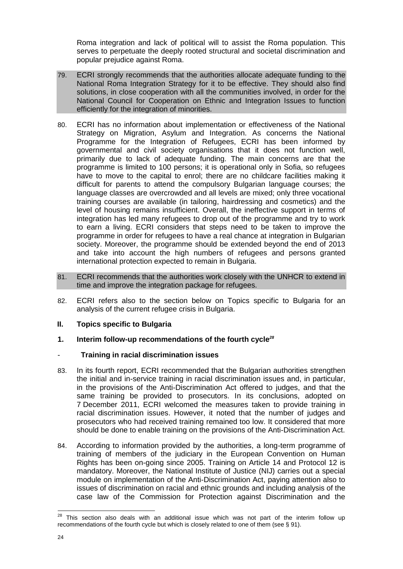Roma integration and lack of political will to assist the Roma population. This serves to perpetuate the deeply rooted structural and societal discrimination and popular prejudice against Roma.

- 79. ECRI strongly recommends that the authorities allocate adequate funding to the National Roma Integration Strategy for it to be effective. They should also find solutions, in close cooperation with all the communities involved, in order for the National Council for Cooperation on Ethnic and Integration Issues to function efficiently for the integration of minorities.
- 80. ECRI has no information about implementation or effectiveness of the National Strategy on Migration, Asylum and Integration. As concerns the National Programme for the Integration of Refugees, ECRI has been informed by governmental and civil society organisations that it does not function well, primarily due to lack of adequate funding. The main concerns are that the programme is limited to 100 persons; it is operational only in Sofia, so refugees have to move to the capital to enrol; there are no childcare facilities making it difficult for parents to attend the compulsory Bulgarian language courses; the language classes are overcrowded and all levels are mixed; only three vocational training courses are available (in tailoring, hairdressing and cosmetics) and the level of housing remains insufficient. Overall, the ineffective support in terms of integration has led many refugees to drop out of the programme and try to work to earn a living. ECRI considers that steps need to be taken to improve the programme in order for refugees to have a real chance at integration in Bulgarian society. Moreover, the programme should be extended beyond the end of 2013 and take into account the high numbers of refugees and persons granted international protection expected to remain in Bulgaria.
- 81. ECRI recommends that the authorities work closely with the UNHCR to extend in time and improve the integration package for refugees.
- 82. ECRI refers also to the section below on Topics specific to Bulgaria for an analysis of the current refugee crisis in Bulgaria.
- <span id="page-23-0"></span>**II. Topics specific to Bulgaria**
- <span id="page-23-1"></span>**1. Interim follow-up recommendations of the fourth cycle***<sup>28</sup>*
- <span id="page-23-2"></span>- **Training in racial discrimination issues**
- 83. In its fourth report, ECRI recommended that the Bulgarian authorities strengthen the initial and in-service training in racial discrimination issues and, in particular, in the provisions of the Anti-Discrimination Act offered to judges, and that the same training be provided to prosecutors. In its conclusions, adopted on 7 December 2011, ECRI welcomed the measures taken to provide training in racial discrimination issues. However, it noted that the number of judges and prosecutors who had received training remained too low. It considered that more should be done to enable training on the provisions of the Anti-Discrimination Act.
- 84. According to information provided by the authorities, a long-term programme of training of members of the judiciary in the European Convention on Human Rights has been on-going since 2005. Training on Article 14 and Protocol 12 is mandatory. Moreover, the National Institute of Justice (NIJ) carries out a special module on implementation of the Anti-Discrimination Act, paying attention also to issues of discrimination on racial and ethnic grounds and including analysis of the case law of the Commission for Protection against Discrimination and the

 $\overline{a}$ 

 $28$  This section also deals with an additional issue which was not part of the interim follow up recommendations of the fourth cycle but which is closely related to one of them (see § 91).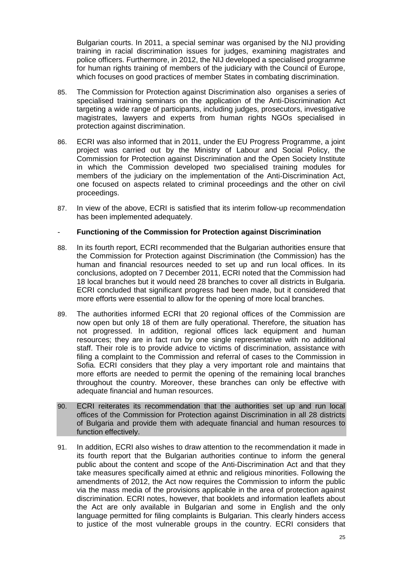Bulgarian courts. In 2011, a special seminar was organised by the NIJ providing training in racial discrimination issues for judges, examining magistrates and police officers. Furthermore, in 2012, the NIJ developed a specialised programme for human rights training of members of the judiciary with the Council of Europe, which focuses on good practices of member States in combating discrimination.

- 85. The Commission for Protection against Discrimination also organises a series of specialised training seminars on the application of the Anti-Discrimination Act targeting a wide range of participants, including judges, prosecutors, investigative magistrates, lawyers and experts from human rights NGOs specialised in protection against discrimination.
- 86. ECRI was also informed that in 2011, under the EU Progress Programme, a joint project was carried out by the Ministry of Labour and Social Policy, the Commission for Protection against Discrimination and the Open Society Institute in which the Commission developed two specialised training modules for members of the judiciary on the implementation of the Anti-Discrimination Act, one focused on aspects related to criminal proceedings and the other on civil proceedings.
- 87. In view of the above, ECRI is satisfied that its interim follow-up recommendation has been implemented adequately.

# <span id="page-24-0"></span>- **Functioning of the Commission for Protection against Discrimination**

- 88. In its fourth report, ECRI recommended that the Bulgarian authorities ensure that the Commission for Protection against Discrimination (the Commission) has the human and financial resources needed to set up and run local offices. In its conclusions, adopted on 7 December 2011, ECRI noted that the Commission had 18 local branches but it would need 28 branches to cover all districts in Bulgaria. ECRI concluded that significant progress had been made, but it considered that more efforts were essential to allow for the opening of more local branches.
- 89. The authorities informed ECRI that 20 regional offices of the Commission are now open but only 18 of them are fully operational. Therefore, the situation has not progressed. In addition, regional offices lack equipment and human resources; they are in fact run by one single representative with no additional staff. Their role is to provide advice to victims of discrimination, assistance with filing a complaint to the Commission and referral of cases to the Commission in Sofia. ECRI considers that they play a very important role and maintains that more efforts are needed to permit the opening of the remaining local branches throughout the country. Moreover, these branches can only be effective with adequate financial and human resources.
- 90. ECRI reiterates its recommendation that the authorities set up and run local offices of the Commission for Protection against Discrimination in all 28 districts of Bulgaria and provide them with adequate financial and human resources to function effectively.
- 91. In addition, ECRI also wishes to draw attention to the recommendation it made in its fourth report that the Bulgarian authorities continue to inform the general public about the content and scope of the Anti-Discrimination Act and that they take measures specifically aimed at ethnic and religious minorities. Following the amendments of 2012, the Act now requires the Commission to inform the public via the mass media of the provisions applicable in the area of protection against discrimination. ECRI notes, however, that booklets and information leaflets about the Act are only available in Bulgarian and some in English and the only language permitted for filing complaints is Bulgarian. This clearly hinders access to justice of the most vulnerable groups in the country. ECRI considers that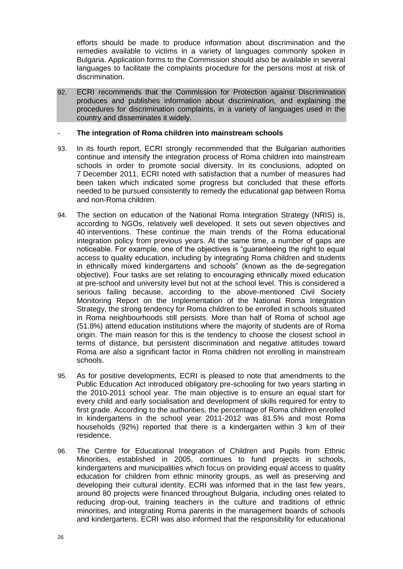efforts should be made to produce information about discrimination and the remedies available to victims in a variety of languages commonly spoken in Bulgaria. Application forms to the Commission should also be available in several languages to facilitate the complaints procedure for the persons most at risk of discrimination.

92. ECRI recommends that the Commission for Protection against Discrimination produces and publishes information about discrimination, and explaining the procedures for discrimination complaints, in a variety of languages used in the country and disseminates it widely.

## <span id="page-25-0"></span>- **The integration of Roma children into mainstream schools**

- 93. In its fourth report, ECRI strongly recommended that the Bulgarian authorities continue and intensify the integration process of Roma children into mainstream schools in order to promote social diversity. In its conclusions, adopted on 7 December 2011, ECRI noted with satisfaction that a number of measures had been taken which indicated some progress but concluded that these efforts needed to be pursued consistently to remedy the educational gap between Roma and non-Roma children.
- 94. The section on education of the National Roma Integration Strategy (NRIS) is, according to NGOs, relatively well developed. It sets out seven objectives and 40 interventions. These continue the main trends of the Roma educational integration policy from previous years. At the same time, a number of gaps are noticeable. For example, one of the objectives is "guaranteeing the right to equal access to quality education, including by integrating Roma children and students in ethnically mixed kindergartens and schools" (known as the de-segregation objective). Four tasks are set relating to encouraging ethnically mixed education at pre-school and university level but not at the school level. This is considered a serious failing because, according to the above-mentioned Civil Society Monitoring Report on the Implementation of the National Roma Integration Strategy, the strong tendency for Roma children to be enrolled in schools situated in Roma neighbourhoods still persists. More than half of Roma of school age (51.8%) attend education institutions where the majority of students are of Roma origin. The main reason for this is the tendency to choose the closest school in terms of distance, but persistent discrimination and negative attitudes toward Roma are also a significant factor in Roma children not enrolling in mainstream schools.
- 95. As for positive developments, ECRI is pleased to note that amendments to the Public Education Act introduced obligatory pre-schooling for two years starting in the 2010-2011 school year. The main objective is to ensure an equal start for every child and early socialisation and development of skills required for entry to first grade. According to the authorities, the percentage of Roma children enrolled in kindergartens in the school year 2011-2012 was 81.5% and most Roma households (92%) reported that there is a kindergarten within 3 km of their residence.
- 96. The Centre for Educational Integration of Children and Pupils from Ethnic Minorities, established in 2005, continues to fund projects in schools, kindergartens and municipalities which focus on providing equal access to quality education for children from ethnic minority groups, as well as preserving and developing their cultural identity. ECRI was informed that in the last few years, around 80 projects were financed throughout Bulgaria, including ones related to reducing drop-out, training teachers in the culture and traditions of ethnic minorities, and integrating Roma parents in the management boards of schools and kindergartens. ECRI was also informed that the responsibility for educational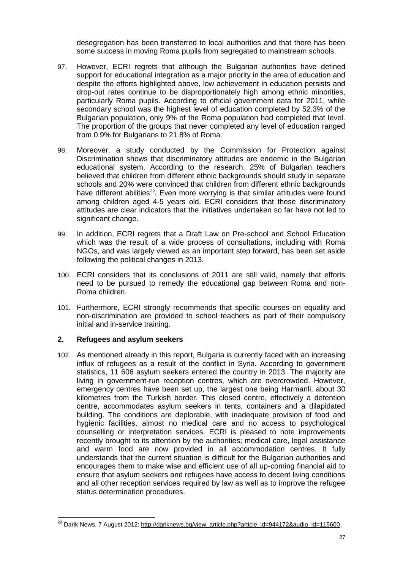desegregation has been transferred to local authorities and that there has been some success in moving Roma pupils from segregated to mainstream schools.

- 97. However, ECRI regrets that although the Bulgarian authorities have defined support for educational integration as a major priority in the area of education and despite the efforts highlighted above, low achievement in education persists and drop-out rates continue to be disproportionately high among ethnic minorities, particularly Roma pupils. According to official government data for 2011, while secondary school was the highest level of education completed by 52.3% of the Bulgarian population, only 9% of the Roma population had completed that level. The proportion of the groups that never completed any level of education ranged from 0.9% for Bulgarians to 21.8% of Roma.
- 98. Moreover, a study conducted by the Commission for Protection against Discrimination shows that discriminatory attitudes are endemic in the Bulgarian educational system. According to the research, 25% of Bulgarian teachers believed that children from different ethnic backgrounds should study in separate schools and 20% were convinced that children from different ethnic backgrounds have different abilities*<sup>29</sup>*. Even more worrying is that similar attitudes were found among children aged 4-5 years old. ECRI considers that these discriminatory attitudes are clear indicators that the initiatives undertaken so far have not led to significant change.
- 99. In addition, ECRI regrets that a Draft Law on Pre-school and School Education which was the result of a wide process of consultations, including with Roma NGOs, and was largely viewed as an important step forward, has been set aside following the political changes in 2013.
- 100. ECRI considers that its conclusions of 2011 are still valid, namely that efforts need to be pursued to remedy the educational gap between Roma and non-Roma children.
- 101. Furthermore, ECRI strongly recommends that specific courses on equality and non-discrimination are provided to school teachers as part of their compulsory initial and in-service training.

# <span id="page-26-0"></span>**2. Refugees and asylum seekers**

102. As mentioned already in this report, Bulgaria is currently faced with an increasing influx of refugees as a result of the conflict in Syria. According to government statistics, 11 606 asylum seekers entered the country in 2013. The majority are living in government-run reception centres, which are overcrowded. However, emergency centres have been set up, the largest one being Harmanli, about 30 kilometres from the Turkish border. This closed centre, effectively a detention centre, accommodates asylum seekers in tents, containers and a dilapidated building. The conditions are deplorable, with inadequate provision of food and hygienic facilities, almost no medical care and no access to psychological counselling or interpretation services. ECRI is pleased to note improvements recently brought to its attention by the authorities; medical care, legal assistance and warm food are now provided in all accommodation centres. It fully understands that the current situation is difficult for the Bulgarian authorities and encourages them to make wise and efficient use of all up-coming financial aid to ensure that asylum seekers and refugees have access to decent living conditions and all other reception services required by law as well as to improve the refugee status determination procedures.

<sup>1</sup> <sup>29</sup> Darik News, 7 August 2012: [http://dariknews.bg/view\\_article.php?article\\_id=944172&audio\\_id=115600.](http://dariknews.bg/view_article.php?article_id=944172&audio_id=115600)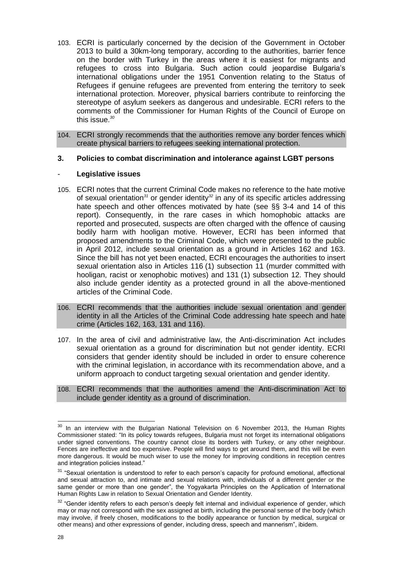- 103. ECRI is particularly concerned by the decision of the Government in October 2013 to build a 30km-long temporary, according to the authorities, barrier fence on the border with Turkey in the areas where it is easiest for migrants and refugees to cross into Bulgaria. Such action could jeopardise Bulgaria's international obligations under the 1951 Convention relating to the Status of Refugees if genuine refugees are prevented from entering the territory to seek international protection. Moreover, physical barriers contribute to reinforcing the stereotype of asylum seekers as dangerous and undesirable. ECRI refers to the comments of the Commissioner for Human Rights of the Council of Europe on this issue.*<sup>30</sup>*
- 104. ECRI strongly recommends that the authorities remove any border fences which create physical barriers to refugees seeking international protection.

## <span id="page-27-0"></span>**3. Policies to combat discrimination and intolerance against LGBT persons**

#### <span id="page-27-1"></span>- **Legislative issues**

- 105. ECRI notes that the current Criminal Code makes no reference to the hate motive of sexual orientation*<sup>31</sup>* or gender identity*<sup>32</sup>* in any of its specific articles addressing hate speech and other offences motivated by hate (see §§ 3-4 and 14 of this report). Consequently, in the rare cases in which homophobic attacks are reported and prosecuted, suspects are often charged with the offence of causing bodily harm with hooligan motive. However, ECRI has been informed that proposed amendments to the Criminal Code, which were presented to the public in April 2012, include sexual orientation as a ground in Articles 162 and 163. Since the bill has not yet been enacted, ECRI encourages the authorities to insert sexual orientation also in Articles 116 (1) subsection 11 (murder committed with hooligan, racist or xenophobic motives) and 131 (1) subsection 12. They should also include gender identity as a protected ground in all the above-mentioned articles of the Criminal Code.
- 106. ECRI recommends that the authorities include sexual orientation and gender identity in all the Articles of the Criminal Code addressing hate speech and hate crime (Articles 162, 163, 131 and 116).
- 107. In the area of civil and administrative law, the Anti-discrimination Act includes sexual orientation as a ground for discrimination but not gender identity. ECRI considers that gender identity should be included in order to ensure coherence with the criminal legislation, in accordance with its recommendation above, and a uniform approach to conduct targeting sexual orientation and gender identity.
- 108. ECRI recommends that the authorities amend the Anti-discrimination Act to include gender identity as a ground of discrimination.

<sup>1</sup>  $30$  In an interview with the Bulgarian National Television on 6 November 2013, the Human Rights Commissioner stated: "In its policy towards refugees, Bulgaria must not forget its international obligations under signed conventions. The country cannot close its borders with Turkey, or any other neighbour. Fences are ineffective and too expensive. People will find ways to get around them, and this will be even more dangerous. It would be much wiser to use the money for improving conditions in reception centres and integration policies instead."

<sup>&</sup>lt;sup>31</sup> "Sexual orientation is understood to refer to each person's capacity for profound emotional, affectional and sexual attraction to, and intimate and sexual relations with, individuals of a different gender or the same gender or more than one gender", the Yogyakarta Principles on the Application of International Human Rights Law in relation to Sexual Orientation and Gender Identity.

<sup>&</sup>lt;sup>32</sup> "Gender identity refers to each person's deeply felt internal and individual experience of gender, which may or may not correspond with the sex assigned at birth, including the personal sense of the body (which may involve, if freely chosen, modifications to the bodily appearance or function by medical, surgical or other means) and other expressions of gender, including dress, speech and mannerism", ibidem.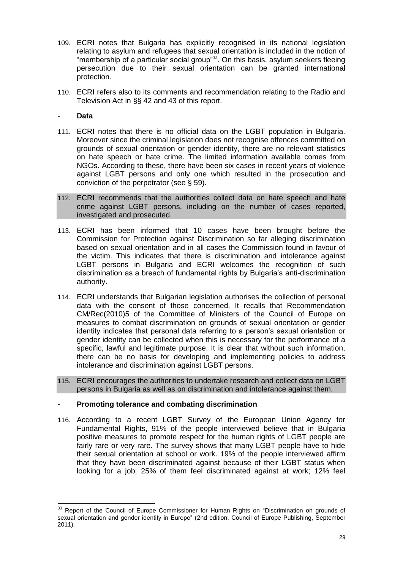- 109. ECRI notes that Bulgaria has explicitly recognised in its national legislation relating to asylum and refugees that sexual orientation is included in the notion of "membership of a particular social group"*<sup>33</sup>* . On this basis, asylum seekers fleeing persecution due to their sexual orientation can be granted international protection.
- 110. ECRI refers also to its comments and recommendation relating to the Radio and Television Act in §§ 42 and 43 of this report.

# <span id="page-28-0"></span>- **Data**

- 111. ECRI notes that there is no official data on the LGBT population in Bulgaria. Moreover since the criminal legislation does not recognise offences committed on grounds of sexual orientation or gender identity, there are no relevant statistics on hate speech or hate crime. The limited information available comes from NGOs. According to these, there have been six cases in recent years of violence against LGBT persons and only one which resulted in the prosecution and conviction of the perpetrator (see § 59).
- 112. ECRI recommends that the authorities collect data on hate speech and hate crime against LGBT persons, including on the number of cases reported, investigated and prosecuted.
- 113. ECRI has been informed that 10 cases have been brought before the Commission for Protection against Discrimination so far alleging discrimination based on sexual orientation and in all cases the Commission found in favour of the victim. This indicates that there is discrimination and intolerance against LGBT persons in Bulgaria and ECRI welcomes the recognition of such discrimination as a breach of fundamental rights by Bulgaria's anti-discrimination authority.
- 114. ECRI understands that Bulgarian legislation authorises the collection of personal data with the consent of those concerned. It recalls that Recommendation CM/Rec(2010)5 of the Committee of Ministers of the Council of Europe on measures to combat discrimination on grounds of sexual orientation or gender identity indicates that personal data referring to a person's sexual orientation or gender identity can be collected when this is necessary for the performance of a specific, lawful and legitimate purpose. It is clear that without such information, there can be no basis for developing and implementing policies to address intolerance and discrimination against LGBT persons.
- 115. ECRI encourages the authorities to undertake research and collect data on LGBT persons in Bulgaria as well as on discrimination and intolerance against them.

# <span id="page-28-1"></span>- **Promoting tolerance and combating discrimination**

116. According to a recent LGBT Survey of the European Union Agency for Fundamental Rights, 91% of the people interviewed believe that in Bulgaria positive measures to promote respect for the human rights of LGBT people are fairly rare or very rare. The survey shows that many LGBT people have to hide their sexual orientation at school or work. 19% of the people interviewed affirm that they have been discriminated against because of their LGBT status when looking for a job; 25% of them feel discriminated against at work; 12% feel

<sup>1</sup>  $33$  Report of the Council of Europe Commissioner for Human Rights on "Discrimination on grounds of sexual orientation and gender identity in Europe" (2nd edition, Council of Europe Publishing, September 2011).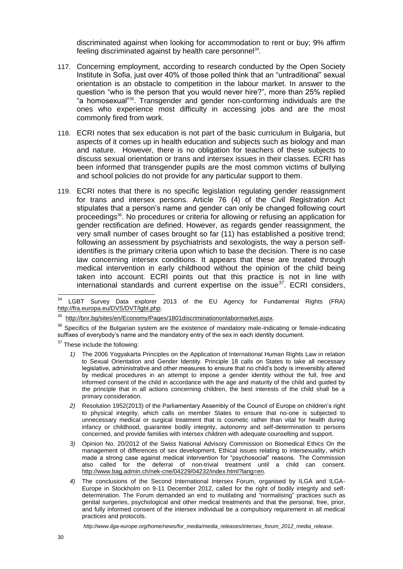discriminated against when looking for accommodation to rent or buy; 9% affirm feeling discriminated against by health care personnel*<sup>34</sup>* .

- 117. Concerning employment, according to research conducted by the Open Society Institute in Sofia, just over 40% of those polled think that an "untraditional" sexual orientation is an obstacle to competition in the labour market. In answer to the question "who is the person that you would never hire?", more than 25% replied "a homosexual"*<sup>35</sup>*. Transgender and gender non-conforming individuals are the ones who experience most difficulty in accessing jobs and are the most commonly fired from work.
- 118. ECRI notes that sex education is not part of the basic curriculum in Bulgaria, but aspects of it comes up in health education and subjects such as biology and man and nature. However, there is no obligation for teachers of these subjects to discuss sexual orientation or trans and intersex issues in their classes. ECRI has been informed that transgender pupils are the most common victims of bullying and school policies do not provide for any particular support to them.
- 119. ECRI notes that there is no specific legislation regulating gender reassignment for trans and intersex persons. Article 76 (4) of the Civil Registration Act stipulates that a person's name and gender can only be changed following court proceedings*<sup>36</sup>*. No procedures or criteria for allowing or refusing an application for gender rectification are defined. However, as regards gender reassignment, the very small number of cases brought so far (11) has established a positive trend; following an assessment by psychiatrists and sexologists, the way a person selfidentifies is the primary criteria upon which to base the decision. There is no case law concerning intersex conditions. It appears that these are treated through medical intervention in early childhood without the opinion of the child being taken into account. ECRI points out that this practice is not in line with international standards and current expertise on the issue*<sup>37</sup>* . ECRI considers,

<sup>37</sup> These include the following:

- *1)* The 2006 Yogyakarta Principles on the Application of International Human Rights Law in relation to Sexual Orientation and Gender Identity. Principle 18 calls on States to take all necessary legislative, administrative and other measures to ensure that no child's body is irreversibly altered by medical procedures in an attempt to impose a gender identity without the full, free and informed consent of the child in accordance with the age and maturity of the child and guided by the principle that in all actions concerning children, the best interests of the child shall be a primary consideration.
- *2)* Resolution 1952(2013) of the Parliamentary Assembly of the Council of Europe on children's right to physical integrity, which calls on member States to ensure that no-one is subjected to unnecessary medical or surgical treatment that is cosmetic rather than vital for health during infancy or childhood, guarantee bodily integrity, autonomy and self-determination to persons concerned, and provide families with intersex children with adequate counselling and support.
- *3)* Opinion No. 20/2012 of the Swiss National Advisory Commission on Biomedical Ethics [On the](http://www.bag.admin.ch/nek-cne/04229/04232/index.html?lang=en&download=NHzLpZeg7t,lnp6I0NTU042l2Z6ln1ad1IZn4Z2qZpnO2Yuq2Z6gpJCKfX96f2ym162epYbg2c_JjKbNoKSn6A--)  [management of differences of sex development, Ethical issues relating to intersexuality,](http://www.bag.admin.ch/nek-cne/04229/04232/index.html?lang=en&download=NHzLpZeg7t,lnp6I0NTU042l2Z6ln1ad1IZn4Z2qZpnO2Yuq2Z6gpJCKfX96f2ym162epYbg2c_JjKbNoKSn6A--) which made a strong case against medical intervention for "psychosocial" reasons. The Commission also called for the deferral of non-trivial treatment until a child can consent. [http://www.bag.admin.ch/nek-cne/04229/04232/index.html?lang=en.](http://www.bag.admin.ch/nek-cne/04229/04232/index.html?lang=en)
- *4)* The conclusions of the Second International Intersex Forum, organised by ILGA and ILGA-Europe in Stockholm on 9-11 December 2012, called for the right of bodily integrity and selfdetermination. The Forum demanded an end to mutilating and "normalising" practices such as genital surgeries, psychological and other medical treatments and that the personal, free, prior, and fully informed consent of the intersex individual be a compulsory requirement in all medical practices and protocols.

*[http://www.ilga-europe.org/home/news/for\\_media/media\\_releases/intersex\\_forum\\_2012\\_media\\_release](http://www.ilga-europe.org/home/news/for_media/media_releases/intersex_forum_2012_media_release)*.

 $34$ LGBT Survey Data explorer 2013 of the EU Agency for Fundamental Rights (FRA) [http://fra.europa.eu/DVS/DVT/lgbt.php.](http://fra.europa.eu/DVS/DVT/lgbt.php)

<sup>35</sup>  [http://bnr.bg/sites/en/Economy/Pages/1801discriminationonlabormarket.aspx.](http://bnr.bg/sites/en/Economy/Pages/1801discriminationonlabormarket.aspx)

<sup>&</sup>lt;sup>36</sup> Specifics of the Bulgarian system are the existence of mandatory male-indicating or female-indicating suffixes of everybody's name and the mandatory entry of the sex in each identity document.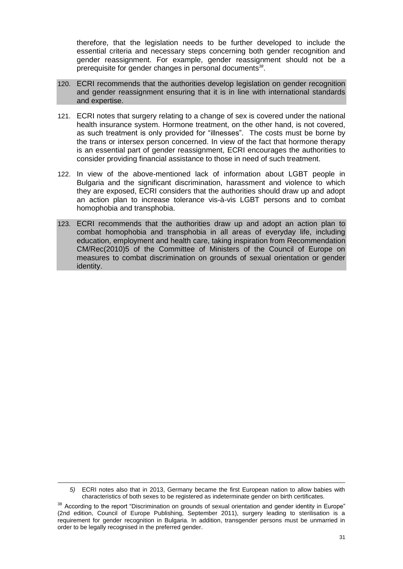therefore, that the legislation needs to be further developed to include the essential criteria and necessary steps concerning both gender recognition and gender reassignment. For example, gender reassignment should not be a prerequisite for gender changes in personal documents*<sup>38</sup>* .

- 120. ECRI recommends that the authorities develop legislation on gender recognition and gender reassignment ensuring that it is in line with international standards and expertise.
- 121. ECRI notes that surgery relating to a change of sex is covered under the national health insurance system. Hormone treatment, on the other hand, is not covered, as such treatment is only provided for "illnesses". The costs must be borne by the trans or intersex person concerned. In view of the fact that hormone therapy is an essential part of gender reassignment, ECRI encourages the authorities to consider providing financial assistance to those in need of such treatment.
- 122. In view of the above-mentioned lack of information about LGBT people in Bulgaria and the significant discrimination, harassment and violence to which they are exposed, ECRI considers that the authorities should draw up and adopt an action plan to increase tolerance vis-à-vis LGBT persons and to combat homophobia and transphobia.
- 123. ECRI recommends that the authorities draw up and adopt an action plan to combat homophobia and transphobia in all areas of everyday life, including education, employment and health care, taking inspiration from Recommendation CM/Rec(2010)5 of the Committee of Ministers of the Council of Europe on measures to combat discrimination on grounds of sexual orientation or gender identity.

1

*<sup>5)</sup>* ECRI notes also that in 2013, Germany became the first European nation to allow babies with characteristics of both sexes to be registered as indeterminate gender on birth certificates.

<sup>&</sup>lt;sup>38</sup> According to the report "Discrimination on grounds of sexual orientation and gender identity in Europe" (2nd edition, Council of Europe Publishing, September 2011), surgery leading to sterilisation is a requirement for gender recognition in Bulgaria. In addition, transgender persons must be unmarried in order to be legally recognised in the preferred gender.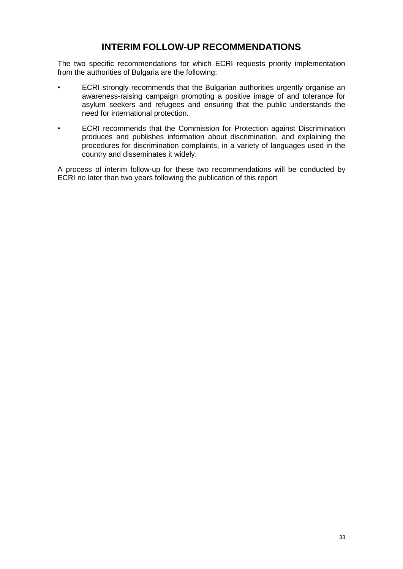# **INTERIM FOLLOW-UP RECOMMENDATIONS**

<span id="page-32-0"></span>The two specific recommendations for which ECRI requests priority implementation from the authorities of Bulgaria are the following:

- ECRI strongly recommends that the Bulgarian authorities urgently organise an awareness-raising campaign promoting a positive image of and tolerance for asylum seekers and refugees and ensuring that the public understands the need for international protection.
- ECRI recommends that the Commission for Protection against Discrimination produces and publishes information about discrimination, and explaining the procedures for discrimination complaints, in a variety of languages used in the country and disseminates it widely.

A process of interim follow-up for these two recommendations will be conducted by ECRI no later than two years following the publication of this report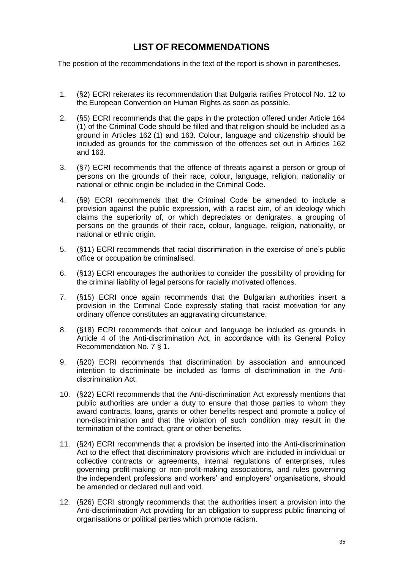# **LIST OF RECOMMENDATIONS**

<span id="page-34-0"></span>The position of the recommendations in the text of the report is shown in parentheses.

- 1. (§2) ECRI reiterates its recommendation that Bulgaria ratifies Protocol No. 12 to the European Convention on Human Rights as soon as possible.
- 2. (§5) ECRI recommends that the gaps in the protection offered under Article 164 (1) of the Criminal Code should be filled and that religion should be included as a ground in Articles 162 (1) and 163. Colour, language and citizenship should be included as grounds for the commission of the offences set out in Articles 162 and 163.
- 3. (§7) ECRI recommends that the offence of threats against a person or group of persons on the grounds of their race, colour, language, religion, nationality or national or ethnic origin be included in the Criminal Code.
- 4. (§9) ECRI recommends that the Criminal Code be amended to include a provision against the public expression, with a racist aim, of an ideology which claims the superiority of, or which depreciates or denigrates, a grouping of persons on the grounds of their race, colour, language, religion, nationality, or national or ethnic origin.
- 5. (§11) ECRI recommends that racial discrimination in the exercise of one's public office or occupation be criminalised.
- 6. (§13) ECRI encourages the authorities to consider the possibility of providing for the criminal liability of legal persons for racially motivated offences.
- 7. (§15) ECRI once again recommends that the Bulgarian authorities insert a provision in the Criminal Code expressly stating that racist motivation for any ordinary offence constitutes an aggravating circumstance.
- 8. (§18) ECRI recommends that colour and language be included as grounds in Article 4 of the Anti-discrimination Act, in accordance with its General Policy Recommendation No. 7 § 1.
- 9. (§20) ECRI recommends that discrimination by association and announced intention to discriminate be included as forms of discrimination in the Antidiscrimination Act.
- 10. (§22) ECRI recommends that the Anti-discrimination Act expressly mentions that public authorities are under a duty to ensure that those parties to whom they award contracts, loans, grants or other benefits respect and promote a policy of non-discrimination and that the violation of such condition may result in the termination of the contract, grant or other benefits.
- 11. (§24) ECRI recommends that a provision be inserted into the Anti-discrimination Act to the effect that discriminatory provisions which are included in individual or collective contracts or agreements, internal regulations of enterprises, rules governing profit-making or non-profit-making associations, and rules governing the independent professions and workers' and employers' organisations, should be amended or declared null and void.
- 12. (§26) ECRI strongly recommends that the authorities insert a provision into the Anti-discrimination Act providing for an obligation to suppress public financing of organisations or political parties which promote racism.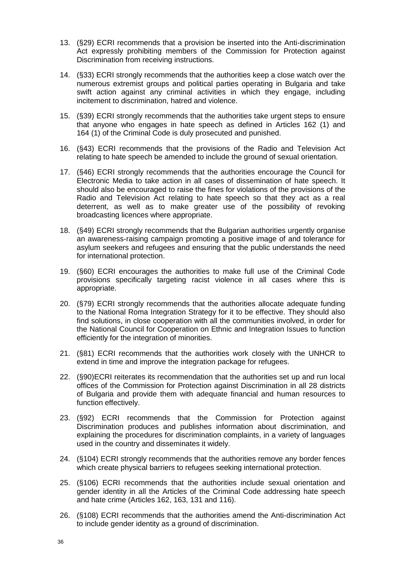- 13. (§29) ECRI recommends that a provision be inserted into the Anti-discrimination Act expressly prohibiting members of the Commission for Protection against Discrimination from receiving instructions.
- 14. (§33) ECRI strongly recommends that the authorities keep a close watch over the numerous extremist groups and political parties operating in Bulgaria and take swift action against any criminal activities in which they engage, including incitement to discrimination, hatred and violence.
- 15. (§39) ECRI strongly recommends that the authorities take urgent steps to ensure that anyone who engages in hate speech as defined in Articles 162 (1) and 164 (1) of the Criminal Code is duly prosecuted and punished.
- 16. (§43) ECRI recommends that the provisions of the Radio and Television Act relating to hate speech be amended to include the ground of sexual orientation.
- 17. (§46) ECRI strongly recommends that the authorities encourage the Council for Electronic Media to take action in all cases of dissemination of hate speech. It should also be encouraged to raise the fines for violations of the provisions of the Radio and Television Act relating to hate speech so that they act as a real deterrent, as well as to make greater use of the possibility of revoking broadcasting licences where appropriate.
- 18. (§49) ECRI strongly recommends that the Bulgarian authorities urgently organise an awareness-raising campaign promoting a positive image of and tolerance for asylum seekers and refugees and ensuring that the public understands the need for international protection.
- 19. (§60) ECRI encourages the authorities to make full use of the Criminal Code provisions specifically targeting racist violence in all cases where this is appropriate.
- 20. (§79) ECRI strongly recommends that the authorities allocate adequate funding to the National Roma Integration Strategy for it to be effective. They should also find solutions, in close cooperation with all the communities involved, in order for the National Council for Cooperation on Ethnic and Integration Issues to function efficiently for the integration of minorities.
- 21. (§81) ECRI recommends that the authorities work closely with the UNHCR to extend in time and improve the integration package for refugees.
- 22. (§90)ECRI reiterates its recommendation that the authorities set up and run local offices of the Commission for Protection against Discrimination in all 28 districts of Bulgaria and provide them with adequate financial and human resources to function effectively.
- 23. (§92) ECRI recommends that the Commission for Protection against Discrimination produces and publishes information about discrimination, and explaining the procedures for discrimination complaints, in a variety of languages used in the country and disseminates it widely.
- 24. (§104) ECRI strongly recommends that the authorities remove any border fences which create physical barriers to refugees seeking international protection.
- 25. (§106) ECRI recommends that the authorities include sexual orientation and gender identity in all the Articles of the Criminal Code addressing hate speech and hate crime (Articles 162, 163, 131 and 116).
- 26. (§108) ECRI recommends that the authorities amend the Anti-discrimination Act to include gender identity as a ground of discrimination.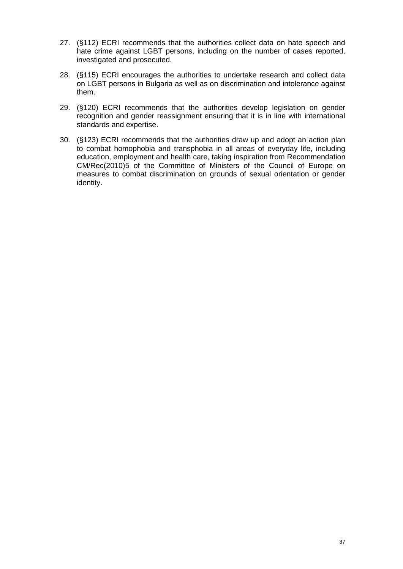- 27. (§112) ECRI recommends that the authorities collect data on hate speech and hate crime against LGBT persons, including on the number of cases reported, investigated and prosecuted.
- 28. (§115) ECRI encourages the authorities to undertake research and collect data on LGBT persons in Bulgaria as well as on discrimination and intolerance against them.
- 29. (§120) ECRI recommends that the authorities develop legislation on gender recognition and gender reassignment ensuring that it is in line with international standards and expertise.
- 30. (§123) ECRI recommends that the authorities draw up and adopt an action plan to combat homophobia and transphobia in all areas of everyday life, including education, employment and health care, taking inspiration from Recommendation CM/Rec(2010)5 of the Committee of Ministers of the Council of Europe on measures to combat discrimination on grounds of sexual orientation or gender identity.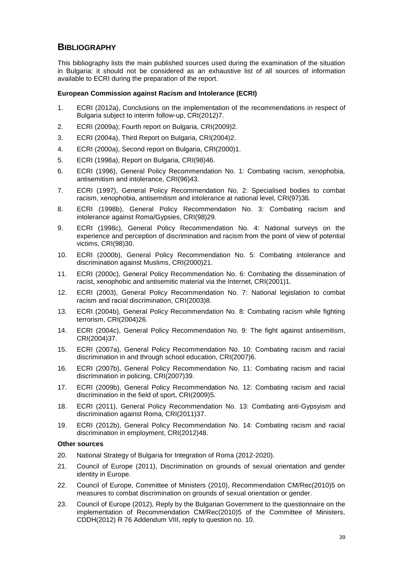# <span id="page-38-0"></span>**BIBLIOGRAPHY**

This bibliography lists the main published sources used during the examination of the situation in Bulgaria: it should not be considered as an exhaustive list of all sources of information available to ECRI during the preparation of the report.

#### **European Commission against Racism and Intolerance (ECRI)**

- 1. ECRI (2012a), Conclusions on the implementation of the recommendations in respect of Bulgaria subject to interim follow-up, CRI(2012)7.
- 2. ECRI (2009a); Fourth report on Bulgaria, CRI(2009)2.
- 3. ECRI (2004a), Third Report on Bulgaria, CRI(2004)2.
- 4. ECRI (2000a), Second report on Bulgaria, CRI(2000)1.
- 5. ECRI (1998a), Report on Bulgaria, CRI(98)46.
- 6. ECRI (1996), General Policy Recommendation No. 1: Combating racism, xenophobia, antisemitism and intolerance, CRI(96)43.
- 7. ECRI (1997), General Policy Recommendation No. 2: Specialised bodies to combat racism, xenophobia, antisemitism and intolerance at national level, CRI(97)36.
- 8. ECRI (1998b), General Policy Recommendation No. 3: Combating racism and intolerance against Roma/Gypsies, CRI(98)29.
- 9. ECRI (1998c), General Policy Recommendation No. 4: National surveys on the experience and perception of discrimination and racism from the point of view of potential victims, CRI(98)30.
- 10. ECRI (2000b), General Policy Recommendation No. 5: Combating intolerance and discrimination against Muslims, CRI(2000)21.
- 11. ECRI (2000c), General Policy Recommendation No. 6: Combating the dissemination of racist, xenophobic and antisemitic material via the Internet, CRI(2001)1.
- 12. ECRI (2003), General Policy Recommendation No. 7: National legislation to combat racism and racial discrimination, CRI(2003)8.
- 13. ECRI (2004b), General Policy Recommendation No. 8: Combating racism while fighting terrorism, CRI(2004)26.
- 14. ECRI (2004c), General Policy Recommendation No. 9: The fight against antisemitism, CRI(2004)37.
- 15. ECRI (2007a), General Policy Recommendation No. 10: Combating racism and racial discrimination in and through school education, CRI(2007)6.
- 16. ECRI (2007b), General Policy Recommendation No. 11: Combating racism and racial discrimination in policing, CRI(2007)39.
- 17. ECRI (2009b), General Policy Recommendation No. 12: Combating racism and racial discrimination in the field of sport, CRI(2009)5.
- 18. ECRI (2011), General Policy Recommendation No. 13: Combating anti-Gypsyism and discrimination against Roma, CRI(2011)37.
- 19. ECRI (2012b), General Policy Recommendation No. 14: Combating racism and racial discrimination in employment, CRI(2012)48.

#### **Other sources**

- 20. National Strategy of Bulgaria for Integration of Roma (2012-2020).
- 21. Council of Europe (2011), Discrimination on grounds of sexual orientation and gender identity in Europe.
- 22. Council of Europe, Committee of Ministers (2010), Recommendation CM/Rec(2010)5 on measures to combat discrimination on grounds of sexual orientation or gender.
- 23. Council of Europe (2012), Reply by the Bulgarian Government to the questionnaire on the implementation of Recommendation CM/Rec(2010)5 of the Committee of Ministers, CDDH(2012) R 76 Addendum VIII, reply to question no. 10.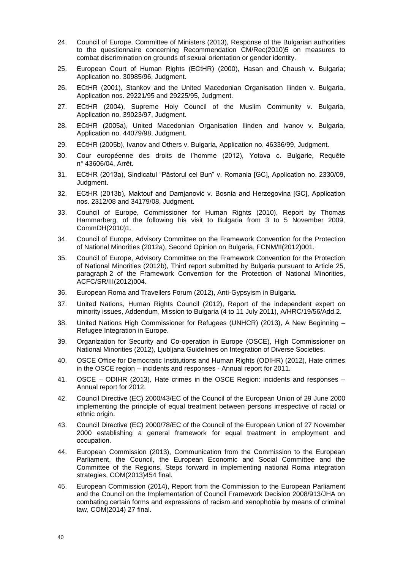- 24. Council of Europe, Committee of Ministers (2013), Response of the Bulgarian authorities to the questionnaire concerning Recommendation CM/Rec(2010)5 on measures to combat discrimination on grounds of sexual orientation or gender identity.
- 25. European Court of Human Rights (ECtHR) (2000), Hasan and Chaush v. Bulgaria; Application no. 30985/96, Judgment.
- 26. ECtHR (2001), Stankov and the United Macedonian Organisation Ilinden v. Bulgaria, Application nos. 29221/95 and 29225/95, Judgment.
- 27. ECtHR (2004), Supreme Holy Council of the Muslim Community v. Bulgaria, Application no. 39023/97, Judgment.
- 28. ECtHR (2005a), United Macedonian Organisation Ilinden and Ivanov v. Bulgaria, Application no. 44079/98, Judgment.
- 29. ECtHR (2005b), Ivanov and Others v. Bulgaria, Application no. 46336/99, Judgment.
- 30. Cour européenne des droits de l'homme (2012), Yotova c. Bulgarie, Requête n° 43606/04, Arrêt.
- 31. ECtHR (2013a), Sindicatul "Păstorul cel Bun" v. Romania [GC], Application no. 2330/09, Judgment.
- 32. ECtHR (2013b), Maktouf and Damjanović v. Bosnia and Herzegovina [GC], Application nos. 2312/08 and 34179/08, Judgment.
- 33. Council of Europe, Commissioner for Human Rights (2010), Report by Thomas Hammarberg, of the following his visit to Bulgaria from 3 to 5 November 2009, CommDH(2010)1.
- 34. Council of Europe, Advisory Committee on the Framework Convention for the Protection of National Minorities (2012a), Second Opinion on Bulgaria, FCNM/II(2012)001.
- 35. Council of Europe, Advisory Committee on the Framework Convention for the Protection of National Minorities (2012b), Third report submitted by Bulgaria pursuant to Article 25, paragraph 2 of the Framework Convention for the Protection of National Minorities, ACFC/SR/III(2012)004.
- 36. European Roma and Travellers Forum (2012), Anti-Gypsyism in Bulgaria.
- 37. United Nations, Human Rights Council (2012), Report of the independent expert on minority issues, Addendum, Mission to Bulgaria (4 to 11 July 2011), A/HRC/19/56/Add.2.
- 38. United Nations High Commissioner for Refugees (UNHCR) (2013), A New Beginning Refugee Integration in Europe.
- 39. Organization for Security and Co-operation in Europe (OSCE), High Commissioner on National Minorities (2012), Ljubljana Guidelines on Integration of Diverse Societies.
- 40. OSCE Office for Democratic Institutions and Human Rights (ODIHR) (2012), Hate crimes in the OSCE region – incidents and responses - Annual report for 2011.
- 41. OSCE ODIHR (2013), Hate crimes in the OSCE Region: incidents and responses Annual report for 2012.
- 42. Council Directive (EC) 2000/43/EC of the Council of the European Union of 29 June 2000 implementing the principle of equal treatment between persons irrespective of racial or ethnic origin.
- 43. Council Directive (EC) 2000/78/EC of the Council of the European Union of 27 November 2000 establishing a general framework for equal treatment in employment and occupation.
- 44. European Commission (2013), Communication from the Commission to the European Parliament, the Council, the European Economic and Social Committee and the Committee of the Regions, Steps forward in implementing national Roma integration strategies, COM(2013)454 final.
- 45. European Commission (2014), Report from the Commission to the European Parliament and the Council on the Implementation of Council Framework Decision 2008/913/JHA on combating certain forms and expressions of racism and xenophobia by means of criminal law, COM(2014) 27 final.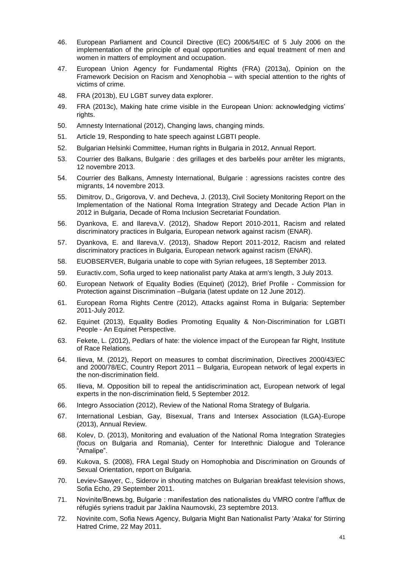- 46. European Parliament and Council Directive (EC) 2006/54/EC of 5 July 2006 on the implementation of the principle of equal opportunities and equal treatment of men and women in matters of employment and occupation.
- 47. European Union Agency for Fundamental Rights (FRA) (2013a), Opinion on the Framework Decision on Racism and Xenophobia – with special attention to the rights of victims of crime.
- 48. FRA (2013b), EU LGBT survey data explorer.
- 49. FRA (2013c), Making hate crime visible in the European Union: acknowledging victims' rights.
- 50. Amnesty International (2012), Changing laws, changing minds.
- 51. Article 19, Responding to hate speech against LGBTI people.
- 52. Bulgarian Helsinki Committee, Human rights in Bulgaria in 2012, Annual Report.
- 53. Courrier des Balkans, Bulgarie : des grillages et des barbelés pour arrêter les migrants, 12 novembre 2013.
- 54. Courrier des Balkans, Amnesty International, Bulgarie : agressions racistes contre des migrants, 14 novembre 2013.
- 55. Dimitrov, D., Grigorova, V. and Decheva, J. (2013), Civil Society Monitoring Report on the Implementation of the National Roma Integration Strategy and Decade Action Plan in 2012 in Bulgaria, Decade of Roma Inclusion Secretariat Foundation.
- 56. Dyankova, E. and Ilareva,V. (2012), Shadow Report 2010-2011, Racism and related discriminatory practices in Bulgaria, European network against racism (ENAR).
- 57. Dyankova, E. and Ilareva,V. (2013), Shadow Report 2011-2012, Racism and related discriminatory practices in Bulgaria, European network against racism (ENAR).
- 58. EUOBSERVER, Bulgaria unable to cope with Syrian refugees, 18 September 2013.
- 59. Euractiv.com, Sofia urged to keep nationalist party Ataka at arm's length, 3 July 2013.
- 60. European Network of Equality Bodies (Equinet) (2012), Brief Profile Commission for Protection against Discrimination –Bulgaria (latest update on 12 June 2012).
- 61. European Roma Rights Centre (2012), Attacks against Roma in Bulgaria: September 2011-July 2012.
- 62. Equinet (2013), Equality Bodies Promoting Equality & Non-Discrimination for LGBTI People - An Equinet Perspective.
- 63. Fekete, L. (2012), Pedlars of hate: the violence impact of the European far Right, Institute of Race Relations.
- 64. Ilieva, M. (2012), Report on measures to combat discrimination, Directives 2000/43/EC and 2000/78/EC, Country Report 2011 – Bulgaria, European network of legal experts in the non-discrimination field.
- 65. Ilieva, M. Opposition bill to repeal the antidiscrimination act, European network of legal experts in the non-discrimination field, 5 September 2012.
- 66. Integro Association (2012), Review of the National Roma Strategy of Bulgaria.
- 67. International Lesbian, Gay, Bisexual, Trans and Intersex Association (ILGA)-Europe (2013), Annual Review.
- 68. Kolev, D. (2013), Monitoring and evaluation of the National Roma Integration Strategies (focus on Bulgaria and Romania), Center for Interethnic Dialogue and Tolerance "Amalipe".
- 69. Kukova, S. (2008), FRA Legal Study on Homophobia and Discrimination on Grounds of Sexual Orientation, report on Bulgaria.
- 70. Leviev-Sawyer, C., Siderov in shouting matches on Bulgarian breakfast television shows, Sofia Echo, 29 September 2011.
- 71. Novinite/Bnews.bg, Bulgarie : manifestation des nationalistes du VMRO contre l'afflux de réfugiés syriens traduit par Jaklina Naumovski, 23 septembre 2013.
- 72. Novinite.com, Sofia News Agency, Bulgaria Might Ban Nationalist Party 'Ataka' for Stirring Hatred Crime, 22 May 2011.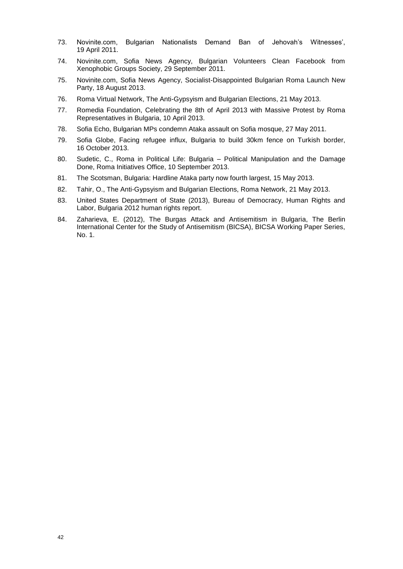- 73. Novinite.com, Bulgarian Nationalists Demand Ban of Jehovah's Witnesses', 19 April 2011.
- 74. Novinite.com, Sofia News Agency, Bulgarian Volunteers Clean Facebook from Xenophobic Groups Society, 29 September 2011.
- 75. Novinite.com, Sofia News Agency, Socialist-Disappointed Bulgarian Roma Launch New Party, 18 August 2013.
- 76. Roma Virtual Network, The Anti-Gypsyism and Bulgarian Elections, 21 May 2013.
- 77. Romedia Foundation, Celebrating the 8th of April 2013 with Massive Protest by Roma Representatives in Bulgaria, 10 April 2013.
- 78. Sofia Echo, Bulgarian MPs condemn Ataka assault on Sofia mosque, 27 May 2011.
- 79. Sofia Globe, Facing refugee influx, Bulgaria to build 30km fence on Turkish border, 16 October 2013.
- 80. Sudetic, C., Roma in Political Life: Bulgaria Political Manipulation and the Damage Done, Roma Initiatives Office, 10 September 2013.
- 81. The Scotsman, Bulgaria: Hardline Ataka party now fourth largest, 15 May 2013.
- 82. Tahir, O., The Anti-Gypsyism and Bulgarian Elections, Roma Network, 21 May 2013.
- 83. United States Department of State (2013), Bureau of Democracy, Human Rights and Labor, Bulgaria 2012 human rights report.
- 84. Zaharieva, E. (2012), The Burgas Attack and Antisemitism in Bulgaria, The Berlin International Center for the Study of Antisemitism (BICSA), BICSA Working Paper Series, No. 1.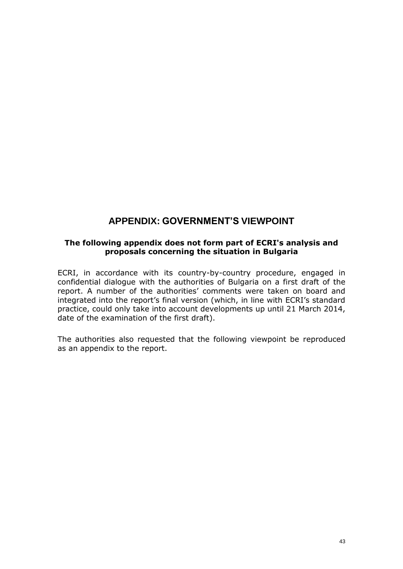# **APPENDIX: GOVERNMENT'S VIEWPOINT**

# <span id="page-42-0"></span>**The following appendix does not form part of ECRI's analysis and proposals concerning the situation in Bulgaria**

ECRI, in accordance with its country-by-country procedure, engaged in confidential dialogue with the authorities of Bulgaria on a first draft of the report. A number of the authorities' comments were taken on board and integrated into the report's final version (which, in line with ECRI's standard practice, could only take into account developments up until 21 March 2014, date of the examination of the first draft).

The authorities also requested that the following viewpoint be reproduced as an appendix to the report.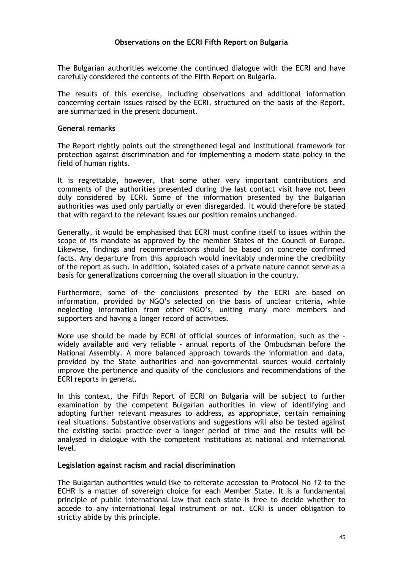## **Observations on the ECRI Fifth Report on Bulgaria**

The Bulgarian authorities welcome the continued dialogue with the ECRI and have carefully considered the contents of the Fifth Report on Bulgaria.

The results of this exercise, including observations and additional information concerning certain issues raised by the ECRI, structured on the basis of the Report, are summarized in the present document.

#### **General remarks**

The Report rightly points out the strengthened legal and institutional framework for protection against discrimination and for implementing a modern state policy in the field of human rights.

It is regrettable, however, that some other very important contributions and comments of the authorities presented during the last contact visit have not been duly considered by ECRI. Some of the information presented by the Bulgarian authorities was used only partially or even disregarded. It would therefore be stated that with regard to the relevant issues our position remains unchanged.

Generally, it would be emphasised that ECRI must confine itself to issues within the scope of its mandate as approved by the member States of the Council of Europe. Likewise, findings and recommendations should be based on concrete confirmed facts. Any departure from this approach would inevitably undermine the credibility of the report as such. In addition, isolated cases of a private nature cannot serve as a basis for generalizations concerning the overall situation in the country.

Furthermore, some of the conclusions presented by the ECRI are based on information, provided by NGO's selected on the basis of unclear criteria, while neglecting information from other NGO's, uniting many more members and supporters and having a longer record of activities.

More use should be made by ECRI of official sources of information, such as the widely available and very reliable - annual reports of the Ombudsman before the National Assembly. A more balanced approach towards the information and data, provided by the State authorities and non-governmental sources would certainly improve the pertinence and quality of the conclusions and recommendations of the ECRI reports in general.

In this context, the Fifth Report of ECRI on Bulgaria will be subject to further examination by the competent Bulgarian authorities in view of identifying and adopting further relevant measures to address, as appropriate, certain remaining real situations. Substantive observations and suggestions will also be tested against the existing social practice over a longer period of time and the results will be analysed in dialogue with the competent institutions at national and international level.

#### **Legislation against racism and racial discrimination**

The Bulgarian authorities would like to reiterate accession to Protocol No 12 to the ECHR is a matter of sovereign choice for each Member State. It is a fundamental principle of public international law that each state is free to decide whether to accede to any international legal instrument or not. ECRI is under obligation to strictly abide by this principle.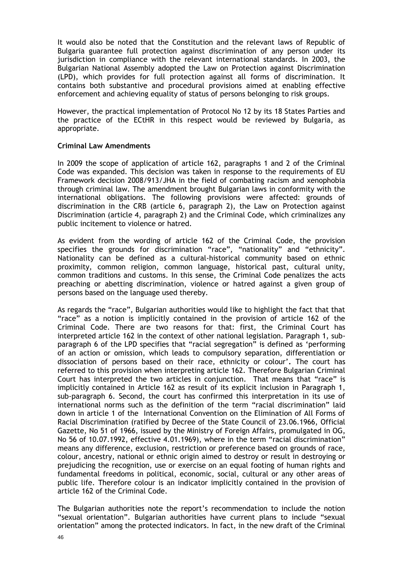It would also be noted that the Constitution and the relevant laws of Republic of Bulgaria guarantee full protection against discrimination of any person under its jurisdiction in compliance with the relevant international standards. In 2003, the Bulgarian National Assembly adopted the Law on Protection against Discrimination (LPD), which provides for full protection against all forms of discrimination. It contains both substantive and procedural provisions aimed at enabling effective enforcement and achieving equality of status of persons belonging to risk groups.

However, the practical implementation of Protocol No 12 by its 18 States Parties and the practice of the ECtHR in this respect would be reviewed by Bulgaria, as appropriate.

## **Criminal Law Amendments**

In 2009 the scope of application of article 162, paragraphs 1 and 2 of the Criminal Code was expanded. This decision was taken in response to the requirements of EU Framework decision 2008/913/JHA in the field of combating racism and xenophobia through criminal law. The amendment brought Bulgarian laws in conformity with the international obligations. The following provisions were affected: grounds of discrimination in the CRB (article 6, paragraph 2), the Law on Protection against Discrimination (article 4, paragraph 2) and the Criminal Code, which criminalizes any public incitement to violence or hatred.

As evident from the wording of article 162 of the Criminal Code, the provision specifies the grounds for discrimination "race", "nationality" and "ethnicity". Nationality can be defined as a cultural-historical community based on ethnic proximity, common religion, common language, historical past, cultural unity, common traditions and customs. In this sense, the Criminal Code penalizes the acts preaching or abetting discrimination, violence or hatred against a given group of persons based on the language used thereby.

As regards the "race", Bulgarian authorities would like to highlight the fact that that "race" as a notion is implicitly contained in the provision of article 162 of the Criminal Code. There are two reasons for that: first, the Criminal Court has interpreted article 162 in the context of other national legislation. Paragraph 1, subparagraph 6 of the LPD specifies that "racial segregation" is defined as 'performing of an action or omission, which leads to compulsory separation, differentiation or dissociation of persons based on their race, ethnicity or colour'**.** The court has referred to this provision when interpreting article 162. Therefore Bulgarian Criminal Court has interpreted the two articles in conjunction. That means that "race" is implicitly contained in Article 162 as result of its explicit inclusion in Paragraph 1, sub-paragraph 6. Second, the court has confirmed this interpretation in its use of international norms such as the definition of the term "racial discrimination" laid down in article 1 of the International Convention on the Elimination of All Forms of Racial Discrimination (ratified by Decree of the State Council of 23.06.1966, Official Gazette, No 51 of 1966, issued by the Ministry of Foreign Affairs, promulgated in OG, No 56 of 10.07.1992, effective 4.01.1969), where in the term "racial discrimination" means any difference, exclusion, restriction or preference based on grounds of race, colour, ancestry, national or ethnic origin aimed to destroy or result in destroying or prejudicing the recognition, use or exercise on an equal footing of human rights and fundamental freedoms in political, economic, social, cultural or any other areas of public life. Therefore colour is an indicator implicitly contained in the provision of article 162 of the Criminal Code.

The Bulgarian authorities note the report's recommendation to include the notion "sexual orientation". Bulgarian authorities have current plans to include "sexual orientation" among the protected indicators. In fact, in the new draft of the Criminal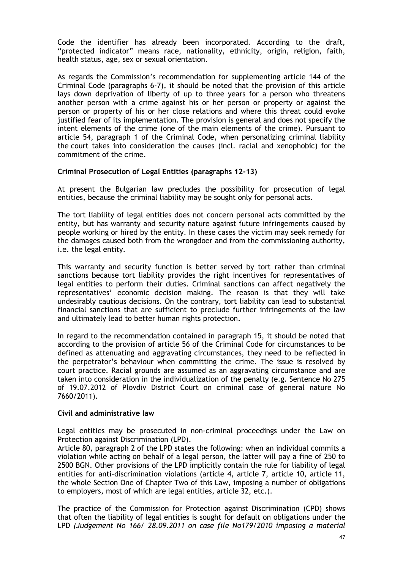Code the identifier has already been incorporated. According to the draft, "protected indicator" means race, nationality, ethnicity, origin, religion, faith, health status, age, sex or sexual orientation.

As regards the Commission's recommendation for supplementing article 144 of the Criminal Code (paragraphs 6-7), it should be noted that the provision of this article lays down deprivation of liberty of up to three years for a person who threatens another person with a crime against his or her person or property or against the person or property of his or her close relations and where this threat could evoke justified fear of its implementation. The provision is general and does not specify the intent elements of the crime (one of the main elements of the crime). Pursuant to article 54, paragraph 1 of the Criminal Code, when personalizing criminal liability the court takes into consideration the causes (incl. racial and xenophobic) for the commitment of the crime.

# **Criminal Prosecution of Legal Entities (paragraphs 12-13)**

At present the Bulgarian law precludes the possibility for prosecution of legal entities, because the criminal liability may be sought only for personal acts.

The tort liability of legal entities does not concern personal acts committed by the entity, but has warranty and security nature against future infringements caused by people working or hired by the entity. In these cases the victim may seek remedy for the damages caused both from the wrongdoer and from the commissioning authority, i.e. the legal entity.

This warranty and security function is better served by tort rather than criminal sanctions because tort liability provides the right incentives for representatives of legal entities to perform their duties. Criminal sanctions can affect negatively the representatives' economic decision making. The reason is that they will take undesirably cautious decisions. On the contrary, tort liability can lead to substantial financial sanctions that are sufficient to preclude further infringements of the law and ultimately lead to better human rights protection.

In regard to the recommendation contained in paragraph 15, it should be noted that according to the provision of article 56 of the Criminal Code for circumstances to be defined as attenuating and aggravating circumstances, they need to be reflected in the perpetrator's behaviour when committing the crime. The issue is resolved by court practice. Racial grounds are assumed as an aggravating circumstance and are taken into consideration in the individualization of the penalty (e.g. Sentence No 275 of 19.07.2012 of Plovdiv District Court on criminal case of general nature No 7660/2011).

#### **Civil and administrative law**

Legal entities may be prosecuted in non-criminal proceedings under the Law on Protection against Discrimination (LPD).

Article 80, paragraph 2 of the LPD states the following: when an individual commits a violation while acting on behalf of a legal person, the latter will pay a fine of 250 to 2500 BGN. Other provisions of the LPD implicitly contain the rule for liability of legal entities for anti-discrimination violations (article 4, article 7, article 10, article 11, the whole Section One of Chapter Two of this Law, imposing a number of obligations to employers, most of which are legal entities, article 32, etc.).

The practice of the Commission for Protection against Discrimination (CPD) shows that often the liability of legal entities is sought for default on obligations under the LPD *(Judgement No 166/ 28.09.2011 on case file No179/2010 imposing a material*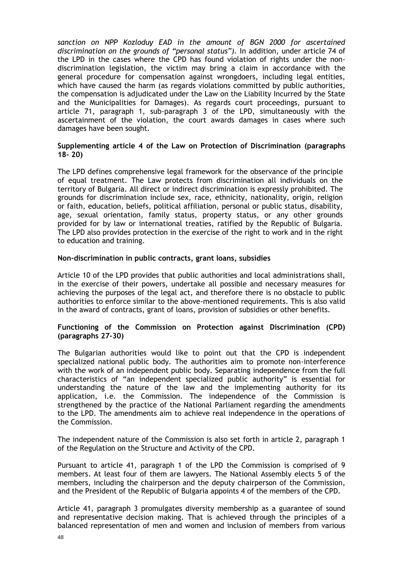*sanction on NPP Kozloduy EAD in the amount of BGN 2000 for ascertained discrimination on the grounds of "personal status").* In addition, under article 74 of the LPD in the cases where the CPD has found violation of rights under the nondiscrimination legislation, the victim may bring a claim in accordance with the general procedure for compensation against wrongdoers, including legal entities, which have caused the harm (as regards violations committed by public authorities, the compensation is adjudicated under the Law on the Liability Incurred by the State and the Municipalities for Damages). As regards court proceedings, pursuant to article 71, paragraph 1, sub-paragraph 3 of the LPD, simultaneously with the ascertainment of the violation, the court awards damages in cases where such damages have been sought.

#### **Supplementing article 4 of the Law on Protection of Discrimination (paragraphs 18- 20)**

The LPD defines comprehensive legal framework for the observance of the principle of equal treatment. The Law protects from discrimination all individuals on the territory of Bulgaria. All direct or indirect discrimination is expressly prohibited. The grounds for discrimination include sex, race, ethnicity, nationality, origin, religion or faith, education, beliefs, political affiliation, personal or public status, disability, age, sexual orientation, family status, property status, or any other grounds provided for by law or international treaties, ratified by the Republic of Bulgaria. The LPD also provides protection in the exercise of the right to work and in the right to education and training.

#### **Non-discrimination in public contracts, grant loans, subsidies**

Article 10 of the LPD provides that public authorities and local administrations shall, in the exercise of their powers, undertake all possible and necessary measures for achieving the purposes of the legal act, and therefore there is no obstacle to public authorities to enforce similar to the above-mentioned requirements. This is also valid in the award of contracts, grant of loans, provision of subsidies or other benefits.

## **Functioning of the Commission on Protection against Discrimination (CPD) (paragraphs 27-30)**

The Bulgarian authorities would like to point out that the CPD is independent specialized national public body. The authorities aim to promote non-interference with the work of an independent public body. Separating independence from the full characteristics of "an independent specialized public authority" is essential for understanding the nature of the law and the implementing authority for its application, i.e. the Commission. The independence of the Commission is strengthened by the practice of the National Parliament regarding the amendments to the LPD. The amendments aim to achieve real independence in the operations of the Commission.

The independent nature of the Commission is also set forth in article 2, paragraph 1 of the Regulation on the Structure and Activity of the CPD.

Pursuant to article 41, paragraph 1 of the LPD the Commission is comprised of 9 members. At least four of them are lawyers. The National Assembly elects 5 of the members, including the chairperson and the deputy chairperson of the Commission, and the President of the Republic of Bulgaria appoints 4 of the members of the CPD.

Article 41, paragraph 3 promulgates diversity membership as a guarantee of sound and representative decision making. That is achieved through the principles of a balanced representation of men and women and inclusion of members from various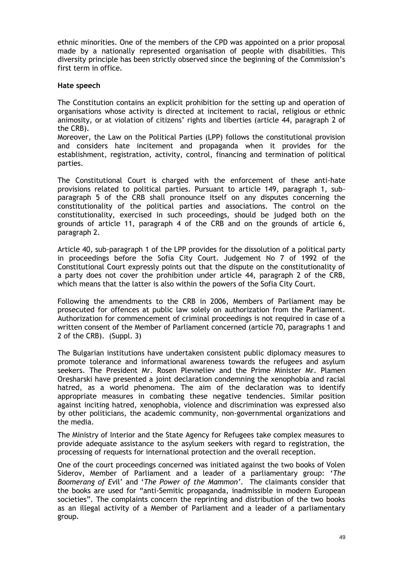ethnic minorities. One of the members of the CPD was appointed on a prior proposal made by a nationally represented organisation of people with disabilities. This diversity principle has been strictly observed since the beginning of the Commission's first term in office.

# **Hate speech**

The Constitution contains an explicit prohibition for the setting up and operation of organisations whose activity is directed at incitement to racial, religious or ethnic animosity, or at violation of citizens' rights and liberties (article 44, paragraph 2 of the CRB).

Moreover, the Law on the Political Parties (LPP) follows the constitutional provision and considers hate incitement and propaganda when it provides for the establishment, registration, activity, control, financing and termination of political parties.

The Constitutional Court is charged with the enforcement of these anti-hate provisions related to political parties. Pursuant to article 149, paragraph 1, subparagraph 5 of the CRB shall pronounce itself on any disputes concerning the constitutionality of the political parties and associations. The control on the constitutionality, exercised in such proceedings, should be judged both on the grounds of article 11, paragraph 4 of the CRB and on the grounds of article 6, paragraph 2.

Article 40, sub-paragraph 1 of the LPP provides for the dissolution of a political party in proceedings before the Sofia City Court. Judgement No 7 of 1992 of the Constitutional Court expressly points out that the dispute on the constitutionality of a party does not cover the prohibition under article 44, paragraph 2 of the CRB, which means that the latter is also within the powers of the Sofia City Court.

Following the amendments to the CRB in 2006, Members of Parliament may be prosecuted for offences at public law solely on authorization from the Parliament. Authorization for commencement of criminal proceedings is not required in case of a written consent of the Member of Parliament concerned (article 70, paragraphs 1 and 2 of the CRB). (Suppl. 3)

The Bulgarian institutions have undertaken consistent public diplomacy measures to promote tolerance and informational awareness towards the refugees and asylum seekers. The President Mr. Rosen Plevneliev and the Prime Minister Mr. Plamen Oresharski have presented a joint declaration condemning the xenophobia and racial hatred, as a world phenomena. The aim of the declaration was to identify appropriate measures in combating these negative tendencies. Similar position against inciting hatred, xenophobia, violence and discrimination was expressed also by other politicians, the academic community, non-governmental organizations and the media.

The Ministry of Interior and the State Agency for Refugees take complex measures to provide adequate assistance to the asylum seekers with regard to registration, the processing of requests for international protection and the overall reception.

One of the court proceedings concerned was initiated against the two books of Volen Siderov, Member of Parliament and a leader of a parliamentary group: '*The Boomerang of Ev*il' and '*The Power of the Mammon'*. The claimants consider that the books are used for "anti-Semitic propaganda, inadmissible in modern European societies". The complaints concern the reprinting and distribution of the two books as an illegal activity of a Member of Parliament and a leader of a parliamentary group.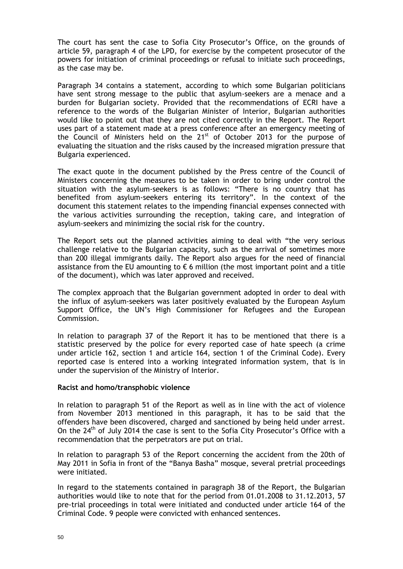The court has sent the case to Sofia City Prosecutor's Office, on the grounds of article 59, paragraph 4 of the LPD, for exercise by the competent prosecutor of the powers for initiation of criminal proceedings or refusal to initiate such proceedings, as the case may be.

Paragraph 34 contains a statement, according to which some Bulgarian politicians have sent strong message to the public that asylum-seekers are a menace and a burden for Bulgarian society. Provided that the recommendations of ECRI have a reference to the words of the Bulgarian Minister of Interior, Bulgarian authorities would like to point out that they are not cited correctly in the Report. The Report uses part of a statement made at a press conference after an emergency meeting of the Council of Ministers held on the  $21<sup>st</sup>$  of October 2013 for the purpose of evaluating the situation and the risks caused by the increased migration pressure that Bulgaria experienced.

The exact quote in the document published by the Press centre of the Council of Ministers concerning the measures to be taken in order to bring under control the situation with the asylum-seekers is as follows: "There is no country that has benefited from asylum-seekers entering its territory". In the context of the document this statement relates to the impending financial expenses connected with the various activities surrounding the reception, taking care, and integration of asylum-seekers and minimizing the social risk for the country.

The Report sets out the planned activities aiming to deal with "the very serious challenge relative to the Bulgarian capacity, such as the arrival of sometimes more than 200 illegal immigrants daily. The Report also argues for the need of financial assistance from the EU amounting to  $\epsilon$  6 million (the most important point and a title of the document), which was later approved and received.

The complex approach that the Bulgarian government adopted in order to deal with the influx of asylum-seekers was later positively evaluated by the European Asylum Support Office, the UN's High Commissioner for Refugees and the European Commission.

In relation to paragraph 37 of the Report it has to be mentioned that there is a statistic preserved by the police for every reported case of hate speech (a crime under article 162, section 1 and article 164, section 1 of the Criminal Code). Every reported case is entered into a working integrated information system, that is in under the supervision of the Ministry of Interior.

# **Racist and homo/transphobic violence**

In relation to paragraph 51 of the Report as well as in line with the act of violence from November 2013 mentioned in this paragraph, it has to be said that the offenders have been discovered, charged and sanctioned by being held under arrest. On the 24<sup>th</sup> of July 2014 the case is sent to the Sofia City Prosecutor's Office with a recommendation that the perpetrators are put on trial.

In relation to paragraph 53 of the Report concerning the accident from the 20th of May 2011 in Sofia in front of the "Banya Basha" mosque, several pretrial proceedings were initiated.

In regard to the statements contained in paragraph 38 of the Report, the Bulgarian authorities would like to note that for the period from 01.01.2008 to 31.12.2013, 57 pre-trial proceedings in total were initiated and conducted under article 164 of the Criminal Code. 9 people were convicted with enhanced sentences.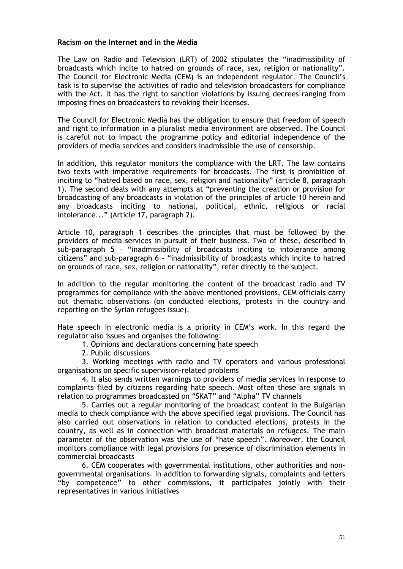#### **Racism on the Internet and in the Media**

The Law on Radio and Television (LRT) of 2002 stipulates the "inadmissibility of broadcasts which incite to hatred on grounds of race, sex, religion or nationality". The Council for Electronic Media (CEM) is an independent regulator. The Council's task is to supervise the activities of radio and television broadcasters for compliance with the Act. It has the right to sanction violations by issuing decrees ranging from imposing fines on broadcasters to revoking their licenses.

The Council for Electronic Media has the obligation to ensure that freedom of speech and right to information in a pluralist media environment are observed. The Council is careful not to impact the programme policy and editorial independence of the providers of media services and considers inadmissible the use of censorship.

In addition, this regulator monitors the compliance with the LRT. The law contains two texts with imperative requirements for broadcasts. The first is prohibition of inciting to "hatred based on race, sex, religion and nationality" (article 8, paragraph 1). The second deals with any attempts at "preventing the creation or provision for broadcasting of any broadcasts in violation of the principles of article 10 herein and any broadcasts inciting to national, political, ethnic, religious or racial intolerance..." (Article 17, paragraph 2).

Article 10, paragraph 1 describes the principles that must be followed by the providers of media services in pursuit of their business. Two of these, described in sub-paragraph 5 – "inadmissibility of broadcasts inciting to intolerance among citizens" and sub-paragraph 6 – "inadmissibility of broadcasts which incite to hatred on grounds of race, sex, religion or nationality", refer directly to the subject.

In addition to the regular monitoring the content of the broadcast radio and TV programmes for compliance with the above mentioned provisions, CEM officials carry out thematic observations (on conducted elections, protests in the country and reporting on the Syrian refugees issue).

Hate speech in electronic media is a priority in CEM's work. In this regard the regulator also issues and organises the following:

1. Opinions and declarations concerning hate speech

2. Public discussions

3. Working meetings with radio and TV operators and various professional organisations on specific supervision-related problems

4. It also sends written warnings to providers of media services in response to complaints filed by citizens regarding hate speech. Most often these are signals in relation to programmes broadcasted on "SKAT" and "Alpha" TV channels

5. Carries out a regular monitoring of the broadcast content in the Bulgarian media to check compliance with the above specified legal provisions. The Council has also carried out observations in relation to conducted elections, protests in the country, as well as in connection with broadcast materials on refugees. The main parameter of the observation was the use of "hate speech". Moreover, the Council monitors compliance with legal provisions for presence of discrimination elements in commercial broadcasts

6. CEM cooperates with governmental institutions, other authorities and nongovernmental organisations. In addition to forwarding signals, complaints and letters "by competence" to other commissions, it participates jointly with their representatives in various initiatives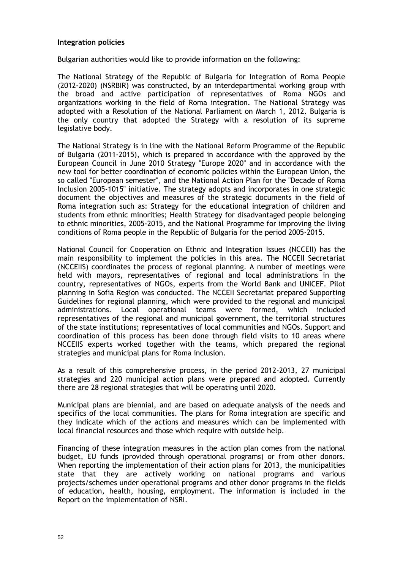#### **Integration policies**

Bulgarian authorities would like to provide information on the following:

The National Strategy of the Republic of Bulgaria for Integration of Roma People (2012-2020) (NSRBIR) was constructed, by an interdepartmental working group with the broad and active participation of representatives of Roma NGOs and organizations working in the field of Roma integration. The National Strategy was adopted with a Resolution of the National Parliament on March 1, 2012. Bulgaria is the only country that adopted the Strategy with a resolution of its supreme legislative body.

The National Strategy is in line with the National Reform Programme of the Republic of Bulgaria (2011-2015), which is prepared in accordance with the approved by the European Council in June 2010 Strategy "Europe 2020" and in accordance with the new tool for better coordination of economic policies within the European Union, the so called "European semester", and the National Action Plan for the "Decade of Roma Inclusion 2005-1015" initiative. The strategy adopts and incorporates in one strategic document the objectives and measures of the strategic documents in the field of Roma integration such as: Strategy for the educational integration of children and students from ethnic minorities; Health Strategy for disadvantaged people belonging to ethnic minorities, 2005-2015, and the National Programme for improving the living conditions of Roma people in the Republic of Bulgaria for the period 2005-2015.

National Council for Cooperation on Ethnic and Integration Issues (NCCEII) has the main responsibility to implement the policies in this area. The NCCEII Secretariat (NCCEIIS) coordinates the process of regional planning. A number of meetings were held with mayors, representatives of regional and local administrations in the country, representatives of NGOs, experts from the World Bank and UNICEF. Pilot planning in Sofia Region was conducted. The NCCEII Secretariat prepared Supporting Guidelines for regional planning, which were provided to the regional and municipal administrations. Local operational teams were formed, which included representatives of the regional and municipal government, the territorial structures of the state institutions; representatives of local communities and NGOs. Support and coordination of this process has been done through field visits to 10 areas where NCCEIIS experts worked together with the teams, which prepared the regional strategies and municipal plans for Roma inclusion.

As a result of this comprehensive process, in the period 2012-2013, 27 municipal strategies and 220 municipal action plans were prepared and adopted. Currently there are 28 regional strategies that will be operating until 2020.

Municipal plans are biennial, and are based on adequate analysis of the needs and specifics of the local communities. The plans for Roma integration are specific and they indicate which of the actions and measures which can be implemented with local financial resources and those which require with outside help.

Financing of these integration measures in the action plan comes from the national budget, EU funds (provided through operational programs) or from other donors. When reporting the implementation of their action plans for 2013, the municipalities state that they are actively working on national programs and various projects/schemes under operational programs and other donor programs in the fields of education, health, housing, employment. The information is included in the Report on the implementation of NSRI.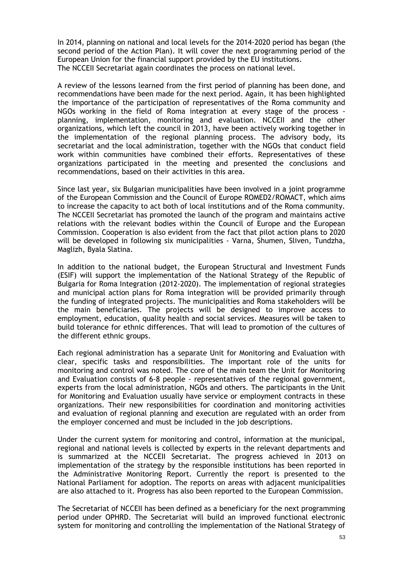In 2014, planning on national and local levels for the 2014-2020 period has began (the second period of the Action Plan). It will cover the next programming period of the European Union for the financial support provided by the EU institutions. The NCCEII Secretariat again coordinates the process on national level.

A review of the lessons learned from the first period of planning has been done, and recommendations have been made for the next period. Again, it has been highlighted the importance of the participation of representatives of the Roma community and NGOs working in the field of Roma integration at every stage of the process planning, implementation, monitoring and evaluation. NCCEII and the other organizations, which left the council in 2013, have been actively working together in the implementation of the regional planning process. The advisory body, its secretariat and the local administration, together with the NGOs that conduct field work within communities have combined their efforts. Representatives of these organizations participated in the meeting and presented the conclusions and recommendations, based on their activities in this area.

Since last year, six Bulgarian municipalities have been involved in a joint programme of the European Commission and the Council of Europe ROMED2/ROMACT, which aims to increase the capacity to act both of local institutions and of the Roma community. The NCCEII Secretariat has promoted the launch of the program and maintains active relations with the relevant bodies within the Council of Europe and the European Commission. Cooperation is also evident from the fact that pilot action plans to 2020 will be developed in following six municipalities - Varna, Shumen, Sliven, Tundzha, Maglizh, Byala Slatina.

In addition to the national budget, the European Structural and Investment Funds (ESIF) will support the implementation of the National Strategy of the Republic of Bulgaria for Roma Integration (2012-2020). The implementation of regional strategies and municipal action plans for Roma integration will be provided primarily through the funding of integrated projects. The municipalities and Roma stakeholders will be the main beneficiaries. The projects will be designed to improve access to employment, education, quality health and social services. Measures will be taken to build tolerance for ethnic differences. That will lead to promotion of the cultures of the different ethnic groups.

Each regional administration has a separate Unit for Monitoring and Evaluation with clear, specific tasks and responsibilities. The important role of the units for monitoring and control was noted. The core of the main team the Unit for Monitoring and Evaluation consists of 6-8 people - representatives of the regional government, experts from the local administration, NGOs and others. The participants in the Unit for Monitoring and Evaluation usually have service or employment contracts in these organizations. Their new responsibilities for coordination and monitoring activities and evaluation of regional planning and execution are regulated with an order from the employer concerned and must be included in the job descriptions.

Under the current system for monitoring and control, information at the municipal, regional and national levels is collected by experts in the relevant departments and is summarized at the NCCEII Secretariat. The progress achieved in 2013 on implementation of the strategy by the responsible institutions has been reported in the Administrative Monitoring Report. Currently the report is presented to the National Parliament for adoption. The reports on areas with adjacent municipalities are also attached to it. Progress has also been reported to the European Commission.

The Secretariat of NCCEII has been defined as a beneficiary for the next programming period under OPHRD. The Secretariat will build an improved functional electronic system for monitoring and controlling the implementation of the National Strategy of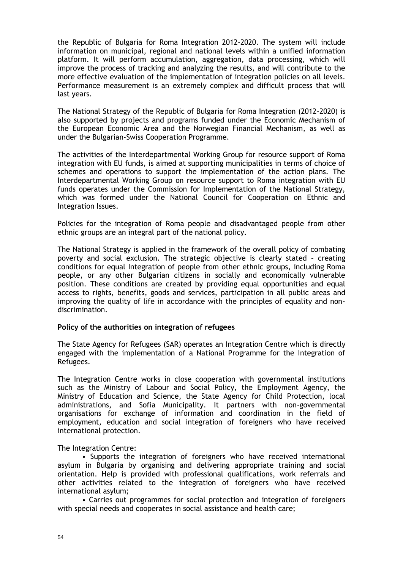the Republic of Bulgaria for Roma Integration 2012-2020. The system will include information on municipal, regional and national levels within a unified information platform. It will perform accumulation, aggregation, data processing, which will improve the process of tracking and analyzing the results, and will contribute to the more effective evaluation of the implementation of integration policies on all levels. Performance measurement is an extremely complex and difficult process that will last years.

The National Strategy of the Republic of Bulgaria for Roma Integration (2012-2020) is also supported by projects and programs funded under the Economic Mechanism of the European Economic Area and the Norwegian Financial Mechanism, as well as under the Bulgarian-Swiss Cooperation Programme.

The activities of the Interdepartmental Working Group for resource support of Roma integration with EU funds, is aimed at supporting municipalities in terms of choice of schemes and operations to support the implementation of the action plans. The Interdepartmental Working Group on resource support to Roma integration with EU funds operates under the Commission for Implementation of the National Strategy, which was formed under the National Council for Cooperation on Ethnic and Integration Issues.

Policies for the integration of Roma people and disadvantaged people from other ethnic groups are an integral part of the national policy.

The National Strategy is applied in the framework of the overall policy of combating poverty and social exclusion. The strategic objective is clearly stated – creating conditions for equal Integration of people from other ethnic groups, including Roma people, or any other Bulgarian citizens in socially and economically vulnerable position. These conditions are created by providing equal opportunities and equal access to rights, benefits, goods and services, participation in all public areas and improving the quality of life in accordance with the principles of equality and nondiscrimination.

# **Policy of the authorities on integration of refugees**

The State Agency for Refugees (SAR) operates an Integration Centre which is directly engaged with the implementation of a National Programme for the Integration of Refugees.

The Integration Centre works in close cooperation with governmental institutions such as the Ministry of Labour and Social Policy, the Employment Agency, the Ministry of Education and Science, the State Agency for Child Protection, local administrations, and Sofia Municipality. It partners with non-governmental organisations for exchange of information and coordination in the field of employment, education and social integration of foreigners who have received international protection.

The Integration Centre:

• Supports the integration of foreigners who have received international asylum in Bulgaria by organising and delivering appropriate training and social orientation. Help is provided with professional qualifications, work referrals and other activities related to the integration of foreigners who have received international asylum;

• Carries out programmes for social protection and integration of foreigners with special needs and cooperates in social assistance and health care;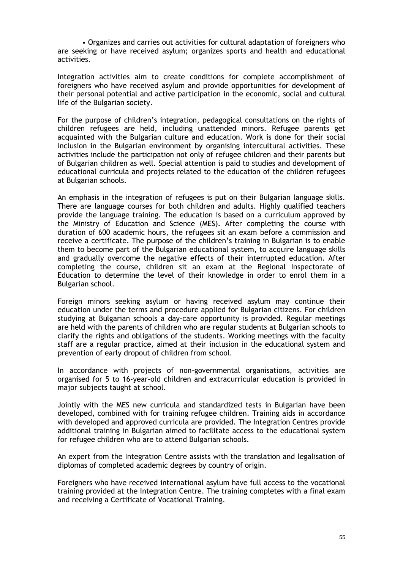• Organizes and carries out activities for cultural adaptation of foreigners who are seeking or have received asylum; organizes sports and health and educational activities.

Integration activities aim to create conditions for complete accomplishment of foreigners who have received asylum and provide opportunities for development of their personal potential and active participation in the economic, social and cultural life of the Bulgarian society.

For the purpose of children's integration, pedagogical consultations on the rights of children refugees are held, including unattended minors. Refugee parents get acquainted with the Bulgarian culture and education. Work is done for their social inclusion in the Bulgarian environment by organising intercultural activities. These activities include the participation not only of refugee children and their parents but of Bulgarian children as well. Special attention is paid to studies and development of educational curricula and projects related to the education of the children refugees at Bulgarian schools.

An emphasis in the integration of refugees is put on their Bulgarian language skills. There are language courses for both children and adults. Highly qualified teachers provide the language training. The education is based on a curriculum approved by the Ministry of Education and Science (MES). After completing the course with duration of 600 academic hours, the refugees sit an exam before a commission and receive a certificate. The purpose of the children's training in Bulgarian is to enable them to become part of the Bulgarian educational system, to acquire language skills and gradually overcome the negative effects of their interrupted education. After completing the course, children sit an exam at the Regional Inspectorate of Education to determine the level of their knowledge in order to enrol them in a Bulgarian school.

Foreign minors seeking asylum or having received asylum may continue their education under the terms and procedure applied for Bulgarian citizens. For children studying at Bulgarian schools a day-care opportunity is provided. Regular meetings are held with the parents of children who are regular students at Bulgarian schools to clarify the rights and obligations of the students. Working meetings with the faculty staff are a regular practice, aimed at their inclusion in the educational system and prevention of early dropout of children from school.

In accordance with projects of non-governmental organisations, activities are organised for 5 to 16-year-old children and extracurricular education is provided in major subjects taught at school.

Jointly with the MES new curricula and standardized tests in Bulgarian have been developed, combined with for training refugee children. Training aids in accordance with developed and approved curricula are provided. The Integration Centres provide additional training in Bulgarian aimed to facilitate access to the educational system for refugee children who are to attend Bulgarian schools.

An expert from the Integration Centre assists with the translation and legalisation of diplomas of completed academic degrees by country of origin.

Foreigners who have received international asylum have full access to the vocational training provided at the Integration Centre. The training completes with a final exam and receiving a Certificate of Vocational Training.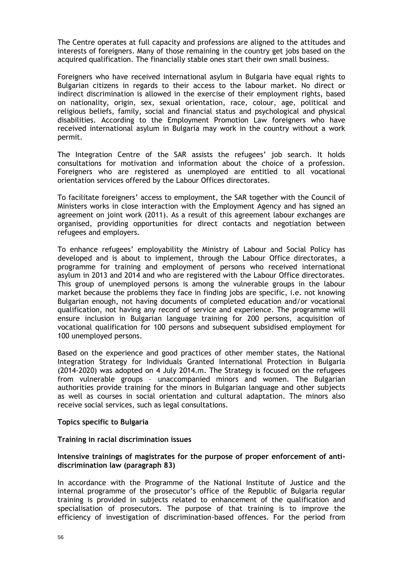The Centre operates at full capacity and professions are aligned to the attitudes and interests of foreigners. Many of those remaining in the country get jobs based on the acquired qualification. The financially stable ones start their own small business.

Foreigners who have received international asylum in Bulgaria have equal rights to Bulgarian citizens in regards to their access to the labour market. No direct or indirect discrimination is allowed in the exercise of their employment rights, based on nationality, origin, sex, sexual orientation, race, colour, age, political and religious beliefs, family, social and financial status and psychological and physical disabilities. According to the Employment Promotion Law foreigners who have received international asylum in Bulgaria may work in the country without a work permit.

The Integration Centre of the SAR assists the refugees' job search. It holds consultations for motivation and information about the choice of a profession. Foreigners who are registered as unemployed are entitled to all vocational orientation services offered by the Labour Offices directorates.

To facilitate foreigners' access to employment, the SAR together with the Council of Ministers works in close interaction with the Employment Agency and has signed an agreement on joint work (2011). As a result of this agreement labour exchanges are organised, providing opportunities for direct contacts and negotiation between refugees and employers.

To enhance refugees' employability the Ministry of Labour and Social Policy has developed and is about to implement, through the Labour Office directorates, a programme for training and employment of persons who received international asylum in 2013 and 2014 and who are registered with the Labour Office directorates. This group of unemployed persons is among the vulnerable groups in the labour market because the problems they face in finding jobs are specific, i.e. not knowing Bulgarian enough, not having documents of completed education and/or vocational qualification, not having any record of service and experience. The programme will ensure inclusion in Bulgarian language training for 200 persons, acquisition of vocational qualification for 100 persons and subsequent subsidised employment for 100 unemployed persons.

Based on the experience and good practices of other member states, the National Integration Strategy for Individuals Granted International Protection in Bulgaria (2014-2020) was adopted on 4 July 2014.m. The Strategy is focused on the refugees from vulnerable groups – unaccompanied minors and women. The Bulgarian authorities provide training for the minors in Bulgarian language and other subjects as well as courses in social orientation and cultural adaptation. The minors also receive social services, such as legal consultations.

# **Topics specific to Bulgaria**

# **Training in racial discrimination issues**

# **Intensive trainings of magistrates for the purpose of proper enforcement of antidiscrimination law (paragraph 83)**

In accordance with the Programme of the National Institute of Justice and the internal programme of the prosecutor's office of the Republic of Bulgaria regular training is provided in subjects related to enhancement of the qualification and specialisation of prosecutors. The purpose of that training is to improve the efficiency of investigation of discrimination-based offences. For the period from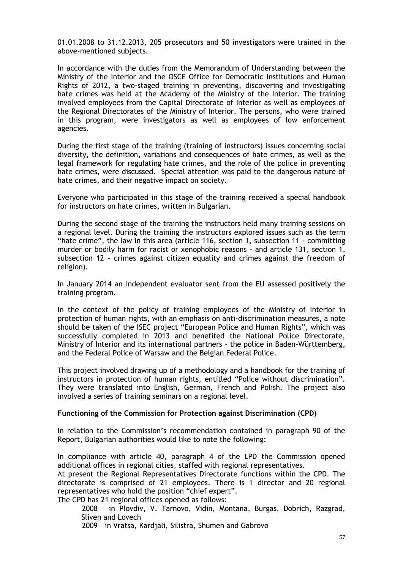01.01.2008 to 31.12.2013, 205 prosecutors and 50 investigators were trained in the above-mentioned subjects.

In accordance with the duties from the Memorandum of Understanding between the Ministry of the Interior and the OSCE Office for Democratic Institutions and Human Rights of 2012, a two-staged training in preventing, discovering and investigating hate crimes was held at the Academy of the Ministry of the Interior. The training involved employees from the Capital Directorate of Interior as well as employees of the Regional Directorates of the Ministry of Interior. The persons, who were trained in this program, were investigators as well as employees of low enforcement agencies.

During the first stage of the training (training of instructors) issues concerning social diversity, the definition, variations and consequences of hate crimes, as well as the legal framework for regulating hate crimes, and the role of the police in preventing hate crimes, were discussed. Special attention was paid to the dangerous nature of hate crimes, and their negative impact on society.

Everyone who participated in this stage of the training received a special handbook for instructors on hate crimes, written in Bulgarian.

During the second stage of the training the instructors held many training sessions on a regional level. During the training the instructors explored issues such as the term "hate crime", the law in this area (article 116, section 1, subsection 11 - committing murder or bodily harm for racist or xenophobic reasons - and article 131, section 1, subsection 12 – crimes against citizen equality and crimes against the freedom of religion).

In January 2014 an independent evaluator sent from the EU assessed positively the training program.

In the context of the policy of training employees of the Ministry of Interior in protection of human rights, with an emphasis on anti-discrimination measures, a note should be taken of the ISEC project "European Police and Human Rights", which was successfully completed in 2013 and benefited the National Police Directorate, Ministry of Interior and its international partners – the police in Baden-Württemberg, and the Federal Police of Warsaw and the Belgian Federal Police.

This project involved drawing up of a methodology and a handbook for the training of instructors in protection of human rights, entitled "Police without discrimination". They were translated into English, German, French and Polish. The project also involved a series of training seminars on a regional level.

#### **Functioning of the Commission for Protection against Discrimination (CPD)**

In relation to the Commission's recommendation contained in paragraph 90 of the Report, Bulgarian authorities would like to note the following:

In compliance with article 40, paragraph 4 of the LPD the Commission opened additional offices in regional cities, staffed with regional representatives.

At present the Regional Representatives Directorate functions within the CPD. The directorate is comprised of 21 employees. There is 1 director and 20 regional representatives who hold the position "chief expert".

The CPD has 21 regional offices opened as follows:

2008 – in Plovdiv, V. Tarnovo, Vidin, Montana, Burgas, Dobrich, Razgrad, Sliven and Lovech

2009 – in Vratsa, Kardjali, Silistra, Shumen and Gabrovo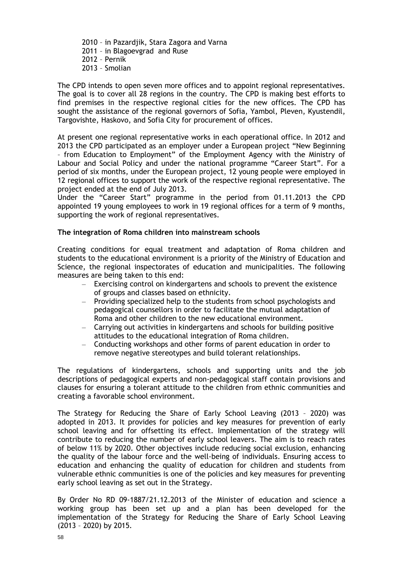– in Pazardjik, Stara Zagora and Varna – in Blagoevgrad and Ruse 2012 – Pernik – Smolian

The CPD intends to open seven more offices and to appoint regional representatives. The goal is to cover all 28 regions in the country. The CPD is making best efforts to find premises in the respective regional cities for the new offices. The CPD has sought the assistance of the regional governors of Sofia, Yambol, Pleven, Kyustendil, Targovishte, Haskovo, and Sofia City for procurement of offices.

At present one regional representative works in each operational office. In 2012 and 2013 the CPD participated as an employer under a European project "New Beginning – from Education to Employment" of the Employment Agency with the Ministry of Labour and Social Policy and under the national programme "Career Start". For a period of six months, under the European project, 12 young people were employed in 12 regional offices to support the work of the respective regional representative. The project ended at the end of July 2013.

Under the "Career Start" programme in the period from 01.11.2013 the CPD appointed 19 young employees to work in 19 regional offices for a term of 9 months, supporting the work of regional representatives.

# **The integration of Roma children into mainstream schools**

Creating conditions for equal treatment and adaptation of Roma children and students to the educational environment is a priority of the Ministry of Education and Science, the regional inspectorates of education and municipalities. The following measures are being taken to this end:

- Exercising control on kindergartens and schools to prevent the existence of groups and classes based on ethnicity.
- Providing specialized help to the students from school psychologists and pedagogical counsellors in order to facilitate the mutual adaptation of Roma and other children to the new educational environment.
- Carrying out activities in kindergartens and schools for building positive attitudes to the educational integration of Roma children.
- Conducting workshops and other forms of parent education in order to remove negative stereotypes and build tolerant relationships.

The regulations of kindergartens, schools and supporting units and the job descriptions of pedagogical experts and non-pedagogical staff contain provisions and clauses for ensuring a tolerant attitude to the children from ethnic communities and creating a favorable school environment.

The Strategy for Reducing the Share of Early School Leaving (2013 – 2020) was adopted in 2013. It provides for policies and key measures for prevention of early school leaving and for offsetting its effect. Implementation of the strategy will contribute to reducing the number of early school leavers. The aim is to reach rates of below 11% by 2020. Other objectives include reducing social exclusion, enhancing the quality of the labour force and the well-being of individuals. Ensuring access to education and enhancing the quality of education for children and students from vulnerable ethnic communities is one of the policies and key measures for preventing early school leaving as set out in the Strategy.

By Order No RD 09-1887/21.12.2013 of the Minister of education and science a working group has been set up and a plan has been developed for the implementation of the Strategy for Reducing the Share of Early School Leaving (2013 – 2020) by 2015.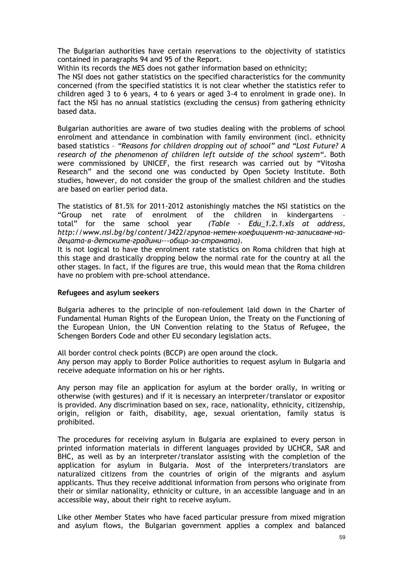The Bulgarian authorities have certain reservations to the objectivity of statistics contained in paragraphs 94 and 95 of the Report.

Within its records the MES does not gather information based on ethnicity;

The NSI does not gather statistics on the specified characteristics for the community concerned (from the specified statistics it is not clear whether the statistics refer to children aged 3 to 6 years, 4 to 6 years or aged 3-4 to enrolment in grade one). In fact the NSI has no annual statistics (excluding the census) from gathering ethnicity based data.

Bulgarian authorities are aware of two studies dealing with the problems of school enrolment and attendance in combination with family environment (incl. ethnicity based statistics – *["Reasons for children dropping out of school"](http://www.vitosha-research.com/vrartShowbg.php?id=8519) and ["Lost Future? A](http://www.unicef.bg/bg/article/Izgubeno-badeshte-Izsledvane-na-fenomenite-na-neobhvashtane-v-uchilishte/639)  [research of the phenomenon of children left outside of the school system"](http://www.unicef.bg/bg/article/Izgubeno-badeshte-Izsledvane-na-fenomenite-na-neobhvashtane-v-uchilishte/639)*. Both were commissioned by UNICEF, the first research was carried out by "Vitosha Research" and the second one was conducted by Open Society Institute. Both studies, however, do not consider the group of the smallest children and the studies are based on earlier period data.

The statistics of 81.5% for 2011-2012 astonishingly matches the NSI statistics on the "Group net rate of enrolment of the children in kindergartens -<br>total" for the same school vear (Table - Edu 1.2.1.xls at address,  $total''$  for the same school year *[http://www.nsi.bg/bg/content/3422/групов](http://www.nsi.bg/bg/content/3422/групов-нетен-коефициент-на-записване-на-децата-в-детските-градини-–-общо-за-страната)-нетен-коефициент-на-записване-надецата-в-детските-градини-–-общо-за-[страната](http://www.nsi.bg/bg/content/3422/групов-нетен-коефициент-на-записване-на-децата-в-детските-градини-–-общо-за-страната)).*

It is not logical to have the enrolment rate statistics on Roma children that high at this stage and drastically dropping below the normal rate for the country at all the other stages. In fact, if the figures are true, this would mean that the Roma children have no problem with pre-school attendance.

# **Refugees and asylum seekers**

Bulgaria adheres to the principle of non-refoulement laid down in the Charter of Fundamental Human Rights of the European Union, the Treaty on the Functioning of the European Union, the UN Convention relating to the Status of Refugee, the Schengen Borders Code and other EU secondary legislation acts.

All border control check points (BCCP) are open around the clock. Any person may apply to Border Police authorities to request asylum in Bulgaria and receive adequate information on his or her rights.

Any person may file an application for asylum at the border orally, in writing or otherwise (with gestures) and if it is necessary an interpreter/translator or expositor is provided. Any discrimination based on sex, race, nationality, ethnicity, citizenship, origin, religion or faith, disability, age, sexual orientation, family status is prohibited.

The procedures for receiving asylum in Bulgaria are explained to every person in printed information materials in different languages provided by UCHCR, SAR and BHC, as well as by an interpreter/translator assisting with the completion of the application for asylum in Bulgaria. Most of the interpreters/translators are naturalized citizens from the countries of origin of the migrants and asylum applicants. Thus they receive additional information from persons who originate from their or similar nationality, ethnicity or culture, in an accessible language and in an accessible way, about their right to receive asylum.

Like other Member States who have faced particular pressure from mixed migration and asylum flows, the Bulgarian government applies a complex and balanced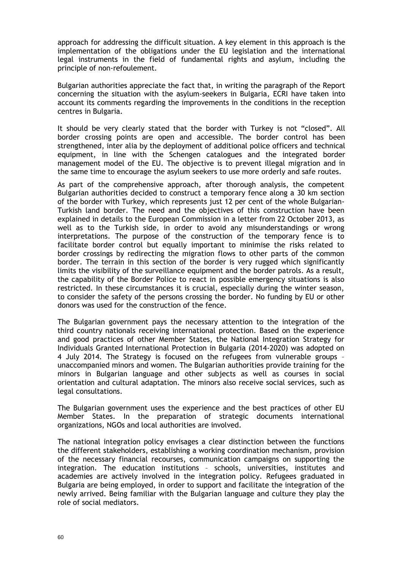approach for addressing the difficult situation. A key element in this approach is the implementation of the obligations under the EU legislation and the international legal instruments in the field of fundamental rights and asylum, including the principle of non-refoulement.

Bulgarian authorities appreciate the fact that, in writing the paragraph of the Report concerning the situation with the asylum-seekers in Bulgaria, ECRI have taken into account its comments regarding the improvements in the conditions in the reception centres in Bulgaria.

It should be very clearly stated that the border with Turkey is not "closed". All border crossing points are open and accessible. The border control has been strengthened, inter alia by the deployment of additional police officers and technical equipment, in line with the Schengen catalogues and the integrated border management model of the EU. The objective is to prevent illegal migration and in the same time to encourage the asylum seekers to use more orderly and safe routes.

As part of the comprehensive approach, after thorough analysis, the competent Bulgarian authorities decided to construct a temporary fence along a 30 km section of the border with Turkey, which represents just 12 per cent of the whole Bulgarian-Turkish land border. The need and the objectives of this construction have been explained in details to the European Commission in a letter from 22 October 2013, as well as to the Turkish side, in order to avoid any misunderstandings or wrong interpretations. The purpose of the construction of the temporary fence is to facilitate border control but equally important to minimise the risks related to border crossings by redirecting the migration flows to other parts of the common border. The terrain in this section of the border is very rugged which significantly limits the visibility of the surveillance equipment and the border patrols. As a result, the capability of the Border Police to react in possible emergency situations is also restricted. In these circumstances it is crucial, especially during the winter season, to consider the safety of the persons crossing the border. No funding by EU or other donors was used for the construction of the fence.

The Bulgarian government pays the necessary attention to the integration of the third country nationals receiving international protection. Based on the experience and good practices of other Member States, the National Integration Strategy for Individuals Granted International Protection in Bulgaria (2014-2020) was adopted on 4 July 2014. The Strategy is focused on the refugees from vulnerable groups – unaccompanied minors and women. The Bulgarian authorities provide training for the minors in Bulgarian language and other subjects as well as courses in social orientation and cultural adaptation. The minors also receive social services, such as legal consultations.

The Bulgarian government uses the experience and the best practices of other EU Member States. In the preparation of strategic documents international organizations, NGOs and local authorities are involved.

The national integration policy envisages a clear distinction between the functions the different stakeholders, establishing a working coordination mechanism, provision of the necessary financial recourses, communication campaigns on supporting the integration. The education institutions – schools, universities, institutes and academies are actively involved in the integration policy. Refugees graduated in Bulgaria are being employed, in order to support and facilitate the integration of the newly arrived. Being familiar with the Bulgarian language and culture they play the role of social mediators.